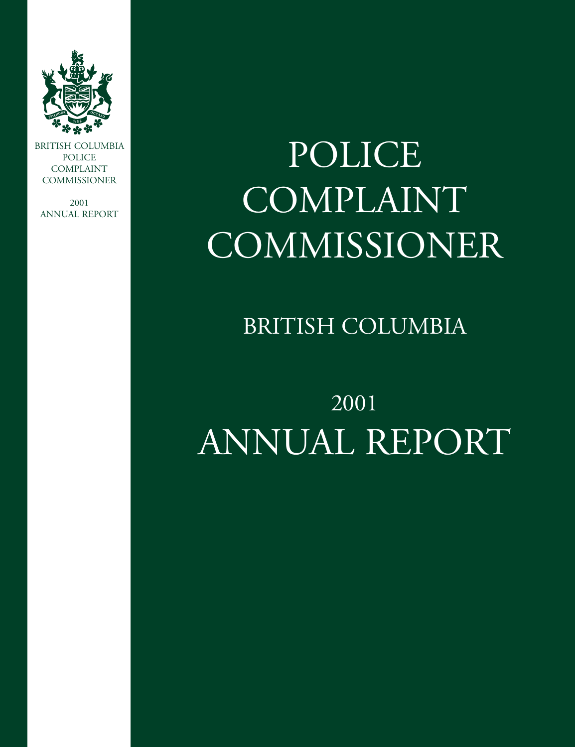

BRITISH COLUMBIA POLICE COMPLAINT **COMMISSIONER** 

2001 ANNUAL REPORT

# POLICE COMPLAINT COMMISSIONER

BRITISH COLUMBIA

## 2001 ANNUAL REPORT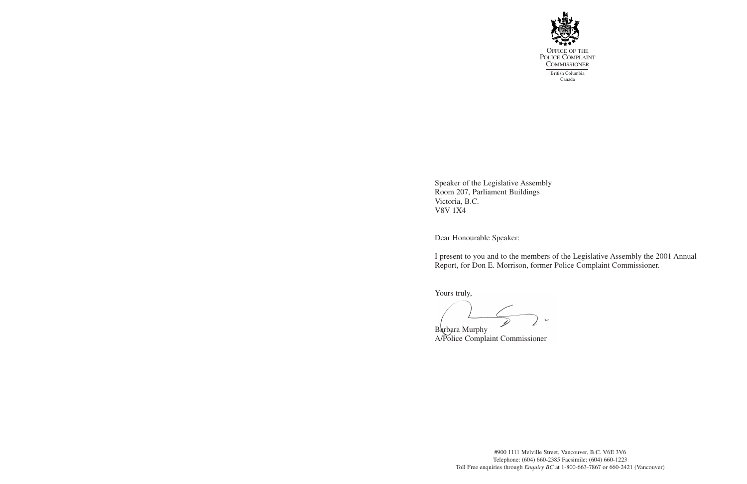

Speaker of the Legislative Assembly Room 207, Parliament Buildings Victoria, B.C. V8V 1X4

Dear Honourable Speaker:

I present to you and to the members of the Legislative Assembly the 2001 Annual Report, for Don E. Morrison, former Police Complaint Commissioner.

Yours truly,

 $\sum$ 

Barbara Murphy A/Police Complaint Commissioner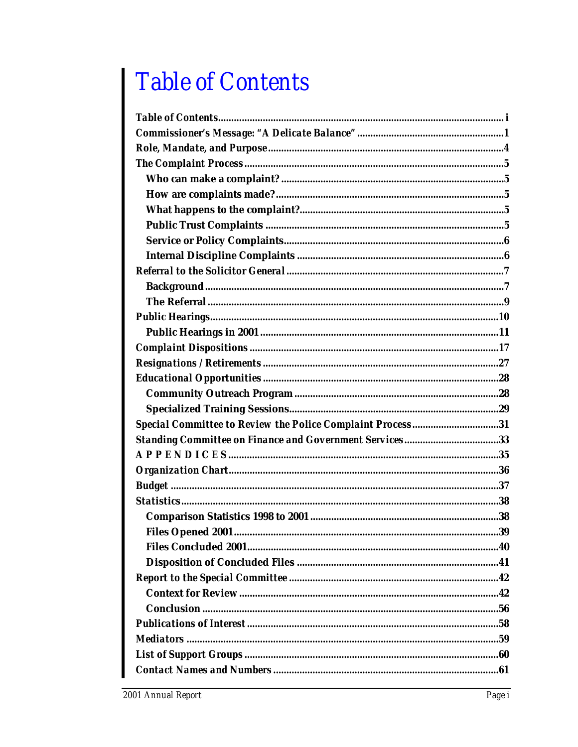## **Table of Contents**

| Special Committee to Review the Police Complaint Process31 |
|------------------------------------------------------------|
| Standing Committee on Finance and Government Services33    |
|                                                            |
|                                                            |
|                                                            |
|                                                            |
|                                                            |
|                                                            |
|                                                            |
|                                                            |
|                                                            |
|                                                            |
|                                                            |
|                                                            |
|                                                            |
|                                                            |
|                                                            |
|                                                            |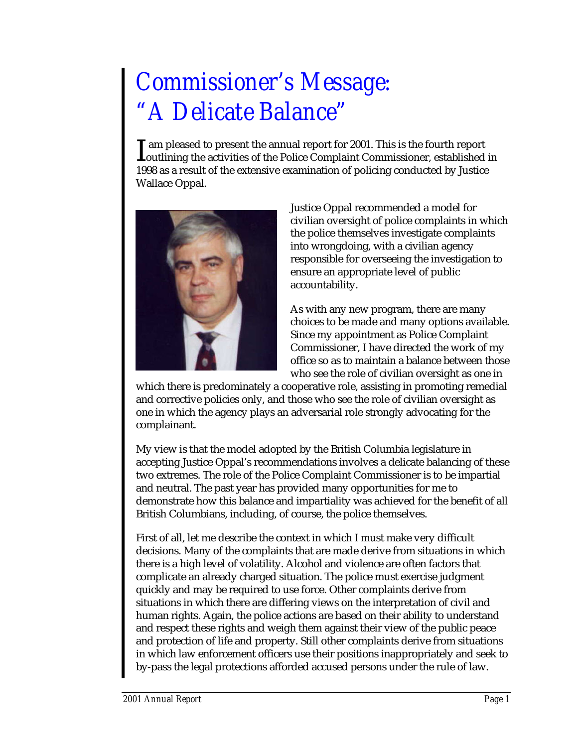## *Commissioner's Message: "A Delicate Balance"*

am pleased to present the annual report for 2001. This is the fourth report I am pleased to present the annual report for 2001. This is the fourth report<br>
coutlining the activities of the Police Complaint Commissioner, established in 1998 as a result of the extensive examination of policing conducted by Justice Wallace Oppal.



Justice Oppal recommended a model for civilian oversight of police complaints in which the police themselves investigate complaints into wrongdoing, with a civilian agency responsible for overseeing the investigation to ensure an appropriate level of public accountability.

As with any new program, there are many choices to be made and many options available. Since my appointment as Police Complaint Commissioner, I have directed the work of my office so as to maintain a balance between those who see the role of civilian oversight as one in

which there is predominately a cooperative role, assisting in promoting remedial and corrective policies only, and those who see the role of civilian oversight as one in which the agency plays an adversarial role strongly advocating for the complainant.

My view is that the model adopted by the British Columbia legislature in accepting Justice Oppal's recommendations involves a delicate balancing of these two extremes. The role of the Police Complaint Commissioner is to be impartial and neutral. The past year has provided many opportunities for me to demonstrate how this balance and impartiality was achieved for the benefit of all British Columbians, including, of course, the police themselves.

First of all, let me describe the context in which I must make very difficult decisions. Many of the complaints that are made derive from situations in which there is a high level of volatility. Alcohol and violence are often factors that complicate an already charged situation. The police must exercise judgment quickly and may be required to use force. Other complaints derive from situations in which there are differing views on the interpretation of civil and human rights. Again, the police actions are based on their ability to understand and respect these rights and weigh them against their view of the public peace and protection of life and property. Still other complaints derive from situations in which law enforcement officers use their positions inappropriately and seek to by-pass the legal protections afforded accused persons under the rule of law.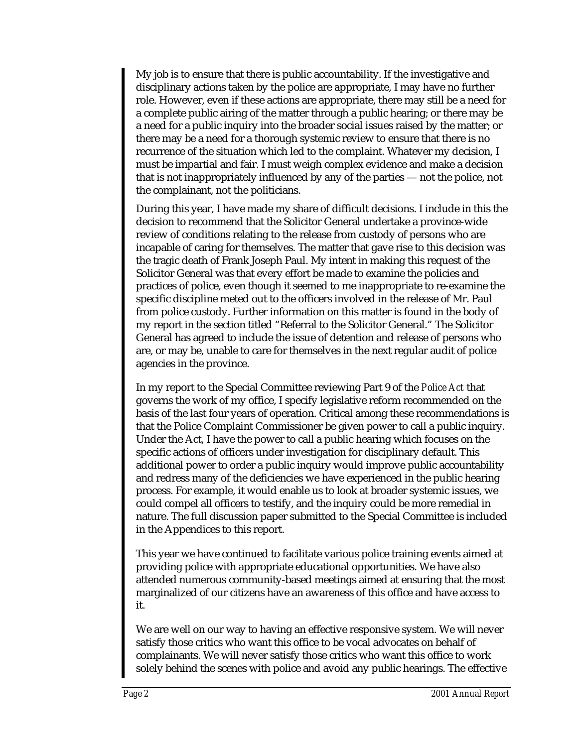My job is to ensure that there is public accountability. If the investigative and disciplinary actions taken by the police are appropriate, I may have no further role. However, even if these actions are appropriate, there may still be a need for a complete public airing of the matter through a public hearing; or there may be a need for a public inquiry into the broader social issues raised by the matter; or there may be a need for a thorough systemic review to ensure that there is no recurrence of the situation which led to the complaint. Whatever my decision, I must be impartial and fair. I must weigh complex evidence and make a decision that is not inappropriately influenced by any of the parties — not the police, not the complainant, not the politicians.

During this year, I have made my share of difficult decisions. I include in this the decision to recommend that the Solicitor General undertake a province-wide review of conditions relating to the release from custody of persons who are incapable of caring for themselves. The matter that gave rise to this decision was the tragic death of Frank Joseph Paul. My intent in making this request of the Solicitor General was that every effort be made to examine the policies and practices of police, even though it seemed to me inappropriate to re-examine the specific discipline meted out to the officers involved in the release of Mr. Paul from police custody. Further information on this matter is found in the body of my report in the section titled "Referral to the Solicitor General." The Solicitor General has agreed to include the issue of detention and release of persons who are, or may be, unable to care for themselves in the next regular audit of police agencies in the province.

In my report to the Special Committee reviewing Part 9 of the *Police Act* that governs the work of my office, I specify legislative reform recommended on the basis of the last four years of operation. Critical among these recommendations is that the Police Complaint Commissioner be given power to call a public inquiry. Under the Act, I have the power to call a public hearing which focuses on the specific actions of officers under investigation for disciplinary default. This additional power to order a public inquiry would improve public accountability and redress many of the deficiencies we have experienced in the public hearing process. For example, it would enable us to look at broader systemic issues, we could compel all officers to testify, and the inquiry could be more remedial in nature. The full discussion paper submitted to the Special Committee is included in the Appendices to this report.

This year we have continued to facilitate various police training events aimed at providing police with appropriate educational opportunities. We have also attended numerous community-based meetings aimed at ensuring that the most marginalized of our citizens have an awareness of this office and have access to it.

We are well on our way to having an effective responsive system. We will never satisfy those critics who want this office to be vocal advocates on behalf of complainants. We will never satisfy those critics who want this office to work solely behind the scenes with police and avoid any public hearings. The effective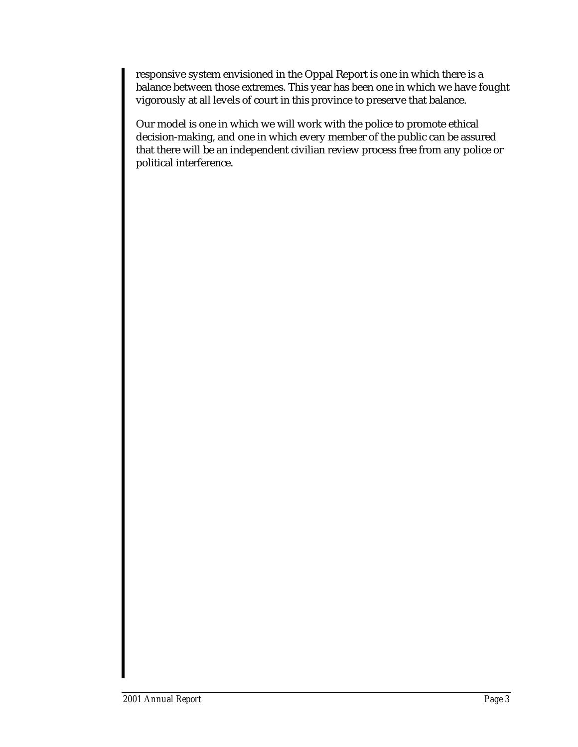responsive system envisioned in the Oppal Report is one in which there is a balance between those extremes. This year has been one in which we have fought vigorously at all levels of court in this province to preserve that balance.

Our model is one in which we will work with the police to promote ethical decision-making, and one in which every member of the public can be assured that there will be an independent civilian review process free from any police or political interference.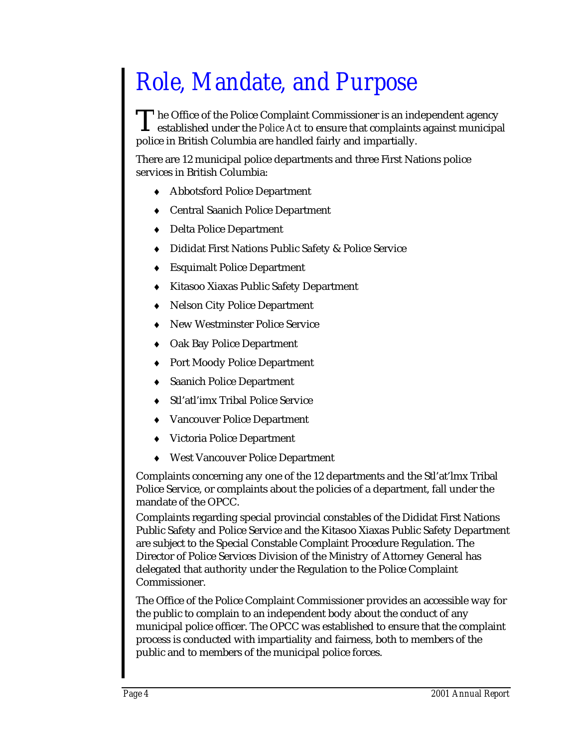## *Role, Mandate, and Purpose*

The Office of the Police Complaint Commissioner is an independent agency established under the *Police Act* to ensure that complaints against municipal police in British Columbia are handled fairly and impartially.  $\rm T$ 

There are 12 municipal police departments and three First Nations police services in British Columbia:

- Abbotsford Police Department
- ♦ Central Saanich Police Department
- ♦ Delta Police Department
- ♦ Dididat First Nations Public Safety & Police Service
- ♦ Esquimalt Police Department
- ♦ Kitasoo Xiaxas Public Safety Department
- ♦ Nelson City Police Department
- ♦ New Westminster Police Service
- ♦ Oak Bay Police Department
- ♦ Port Moody Police Department
- ♦ Saanich Police Department
- Stl'atl'imx Tribal Police Service
- Vancouver Police Department
- Victoria Police Department
- ♦ West Vancouver Police Department

Complaints concerning any one of the 12 departments and the Stl'at'lmx Tribal Police Service, or complaints about the policies of a department, fall under the mandate of the OPCC.

Complaints regarding special provincial constables of the Dididat First Nations Public Safety and Police Service and the Kitasoo Xiaxas Public Safety Department are subject to the Special Constable Complaint Procedure Regulation. The Director of Police Services Division of the Ministry of Attorney General has delegated that authority under the Regulation to the Police Complaint Commissioner.

The Office of the Police Complaint Commissioner provides an accessible way for the public to complain to an independent body about the conduct of any municipal police officer. The OPCC was established to ensure that the complaint process is conducted with impartiality and fairness, both to members of the public and to members of the municipal police forces.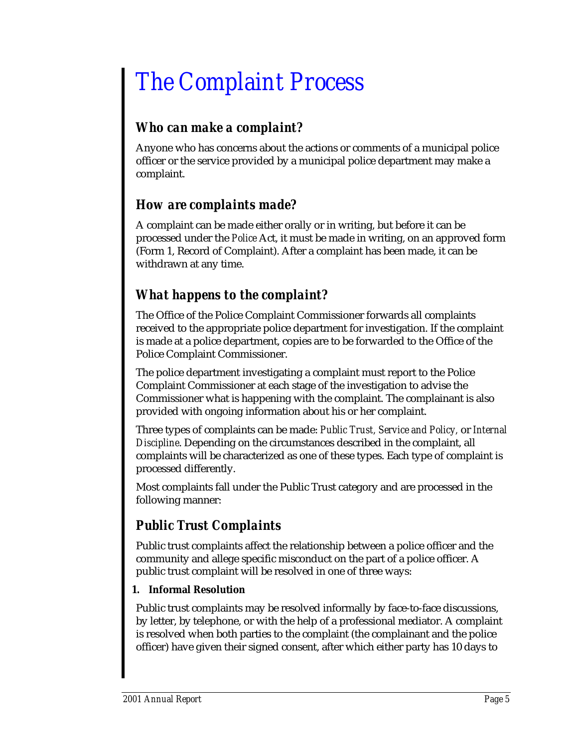## *The Complaint Process*

### *Who can make a complaint?*

Anyone who has concerns about the actions or comments of a municipal police officer or the service provided by a municipal police department may make a complaint.

### *How are complaints made?*

A complaint can be made either orally or in writing, but before it can be processed under the *Police* Act, it must be made in writing, on an approved form (Form 1, Record of Complaint). After a complaint has been made, it can be withdrawn at any time.

### *What happens to the complaint?*

The Office of the Police Complaint Commissioner forwards all complaints received to the appropriate police department for investigation. If the complaint is made at a police department, copies are to be forwarded to the Office of the Police Complaint Commissioner.

The police department investigating a complaint must report to the Police Complaint Commissioner at each stage of the investigation to advise the Commissioner what is happening with the complaint. The complainant is also provided with ongoing information about his or her complaint.

Three types of complaints can be made: *Public Trust, Service and Policy,* or *Internal Discipline*. Depending on the circumstances described in the complaint, all complaints will be characterized as one of these types. Each type of complaint is processed differently.

Most complaints fall under the Public Trust category and are processed in the following manner:

### *Public Trust Complaints*

Public trust complaints affect the relationship between a police officer and the community and allege specific misconduct on the part of a police officer. A public trust complaint will be resolved in one of three ways:

### **1. Informal Resolution**

Public trust complaints may be resolved informally by face-to-face discussions, by letter, by telephone, or with the help of a professional mediator. A complaint is resolved when both parties to the complaint (the complainant and the police officer) have given their signed consent, after which either party has 10 days to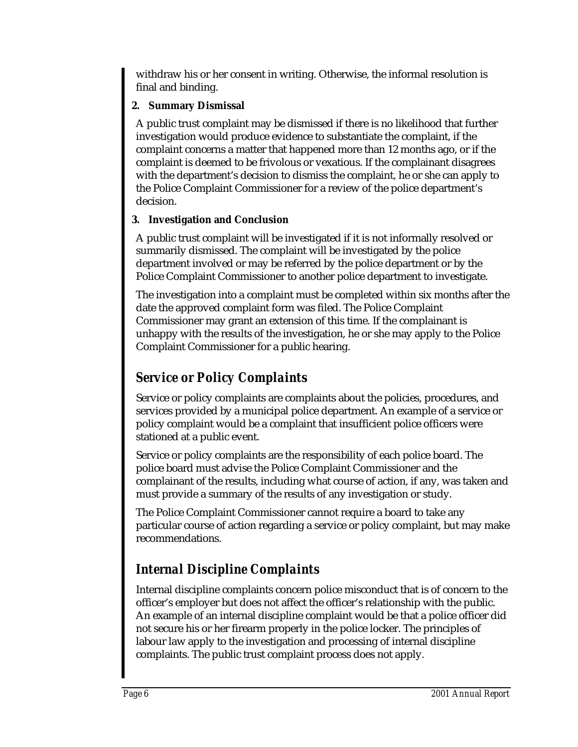withdraw his or her consent in writing. Otherwise, the informal resolution is final and binding.

### **2. Summary Dismissal**

A public trust complaint may be dismissed if there is no likelihood that further investigation would produce evidence to substantiate the complaint, if the complaint concerns a matter that happened more than 12 months ago, or if the complaint is deemed to be frivolous or vexatious. If the complainant disagrees with the department's decision to dismiss the complaint, he or she can apply to the Police Complaint Commissioner for a review of the police department's decision.

### **3. Investigation and Conclusion**

A public trust complaint will be investigated if it is not informally resolved or summarily dismissed. The complaint will be investigated by the police department involved or may be referred by the police department or by the Police Complaint Commissioner to another police department to investigate.

The investigation into a complaint must be completed within six months after the date the approved complaint form was filed. The Police Complaint Commissioner may grant an extension of this time. If the complainant is unhappy with the results of the investigation, he or she may apply to the Police Complaint Commissioner for a public hearing.

### *Service or Policy Complaints*

Service or policy complaints are complaints about the policies, procedures, and services provided by a municipal police department. An example of a service or policy complaint would be a complaint that insufficient police officers were stationed at a public event.

Service or policy complaints are the responsibility of each police board. The police board must advise the Police Complaint Commissioner and the complainant of the results, including what course of action, if any, was taken and must provide a summary of the results of any investigation or study.

The Police Complaint Commissioner cannot require a board to take any particular course of action regarding a service or policy complaint, but may make recommendations.

### *Internal Discipline Complaints*

Internal discipline complaints concern police misconduct that is of concern to the officer's employer but does not affect the officer's relationship with the public. An example of an internal discipline complaint would be that a police officer did not secure his or her firearm properly in the police locker. The principles of labour law apply to the investigation and processing of internal discipline complaints. The public trust complaint process does not apply.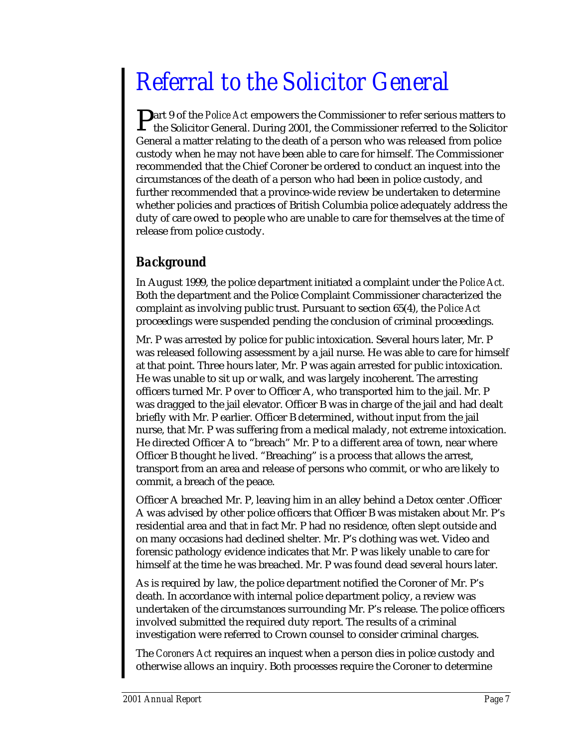## *Referral to the Solicitor General*

**P**art 9 of the *Police Act* empowers the Commissioner to refer serious matters to the Solicitor General. During 2001, the Commissioner referred to the Solicitor the Solicitor General. During 2001, the Commissioner referred to the Solicitor General a matter relating to the death of a person who was released from police custody when he may not have been able to care for himself. The Commissioner recommended that the Chief Coroner be ordered to conduct an inquest into the circumstances of the death of a person who had been in police custody, and further recommended that a province-wide review be undertaken to determine whether policies and practices of British Columbia police adequately address the duty of care owed to people who are unable to care for themselves at the time of release from police custody.

### *Background*

In August 1999, the police department initiated a complaint under the *Police Act.* Both the department and the Police Complaint Commissioner characterized the complaint as involving public trust. Pursuant to section 65(4), the *Police Act* proceedings were suspended pending the conclusion of criminal proceedings.

Mr. P was arrested by police for public intoxication. Several hours later, Mr. P was released following assessment by a jail nurse. He was able to care for himself at that point. Three hours later, Mr. P was again arrested for public intoxication. He was unable to sit up or walk, and was largely incoherent. The arresting officers turned Mr. P over to Officer A, who transported him to the jail. Mr. P was dragged to the jail elevator. Officer B was in charge of the jail and had dealt briefly with Mr. P earlier. Officer B determined, without input from the jail nurse, that Mr. P was suffering from a medical malady, not extreme intoxication. He directed Officer A to "breach" Mr. P to a different area of town, near where Officer B thought he lived. "Breaching" is a process that allows the arrest, transport from an area and release of persons who commit, or who are likely to commit, a breach of the peace.

Officer A breached Mr. P, leaving him in an alley behind a Detox center .Officer A was advised by other police officers that Officer B was mistaken about Mr. P's residential area and that in fact Mr. P had no residence, often slept outside and on many occasions had declined shelter. Mr. P's clothing was wet. Video and forensic pathology evidence indicates that Mr. P was likely unable to care for himself at the time he was breached. Mr. P was found dead several hours later.

As is required by law, the police department notified the Coroner of Mr. P's death. In accordance with internal police department policy, a review was undertaken of the circumstances surrounding Mr. P's release. The police officers involved submitted the required duty report. The results of a criminal investigation were referred to Crown counsel to consider criminal charges.

The *Coroners Act* requires an inquest when a person dies in police custody and otherwise allows an inquiry. Both processes require the Coroner to determine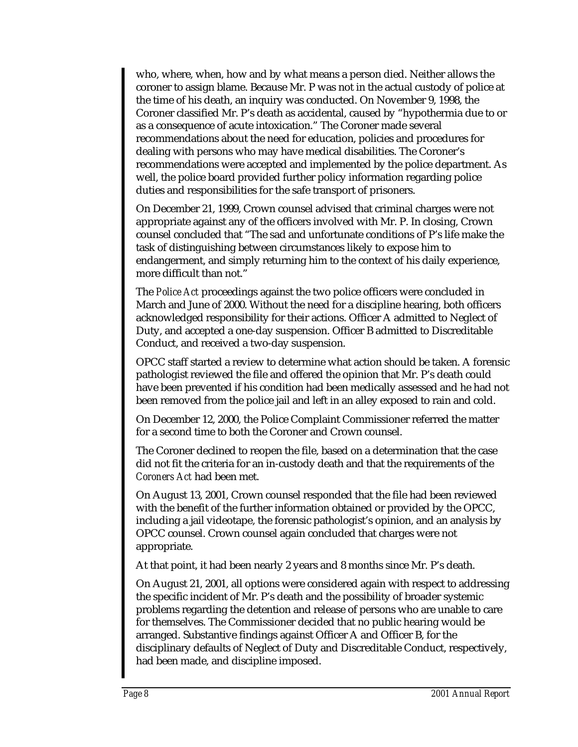who, where, when, how and by what means a person died. Neither allows the coroner to assign blame. Because Mr. P was not in the actual custody of police at the time of his death, an inquiry was conducted. On November 9, 1998, the Coroner classified Mr. P's death as accidental, caused by "hypothermia due to or as a consequence of acute intoxication." The Coroner made several recommendations about the need for education, policies and procedures for dealing with persons who may have medical disabilities. The Coroner's recommendations were accepted and implemented by the police department. As well, the police board provided further policy information regarding police duties and responsibilities for the safe transport of prisoners.

On December 21, 1999, Crown counsel advised that criminal charges were not appropriate against any of the officers involved with Mr. P. In closing, Crown counsel concluded that "The sad and unfortunate conditions of P's life make the task of distinguishing between circumstances likely to expose him to endangerment, and simply returning him to the context of his daily experience, more difficult than not."

The *Police Act* proceedings against the two police officers were concluded in March and June of 2000. Without the need for a discipline hearing, both officers acknowledged responsibility for their actions. Officer A admitted to Neglect of Duty, and accepted a one-day suspension. Officer B admitted to Discreditable Conduct, and received a two-day suspension.

OPCC staff started a review to determine what action should be taken. A forensic pathologist reviewed the file and offered the opinion that Mr. P's death could have been prevented if his condition had been medically assessed and he had not been removed from the police jail and left in an alley exposed to rain and cold.

On December 12, 2000, the Police Complaint Commissioner referred the matter for a second time to both the Coroner and Crown counsel.

The Coroner declined to reopen the file, based on a determination that the case did not fit the criteria for an in-custody death and that the requirements of the *Coroners Act* had been met.

On August 13, 2001, Crown counsel responded that the file had been reviewed with the benefit of the further information obtained or provided by the OPCC, including a jail videotape, the forensic pathologist's opinion, and an analysis by OPCC counsel. Crown counsel again concluded that charges were not appropriate.

At that point, it had been nearly 2 years and 8 months since Mr. P's death.

On August 21, 2001, all options were considered again with respect to addressing the specific incident of Mr. P's death and the possibility of broader systemic problems regarding the detention and release of persons who are unable to care for themselves. The Commissioner decided that no public hearing would be arranged. Substantive findings against Officer A and Officer B, for the disciplinary defaults of Neglect of Duty and Discreditable Conduct, respectively, had been made, and discipline imposed.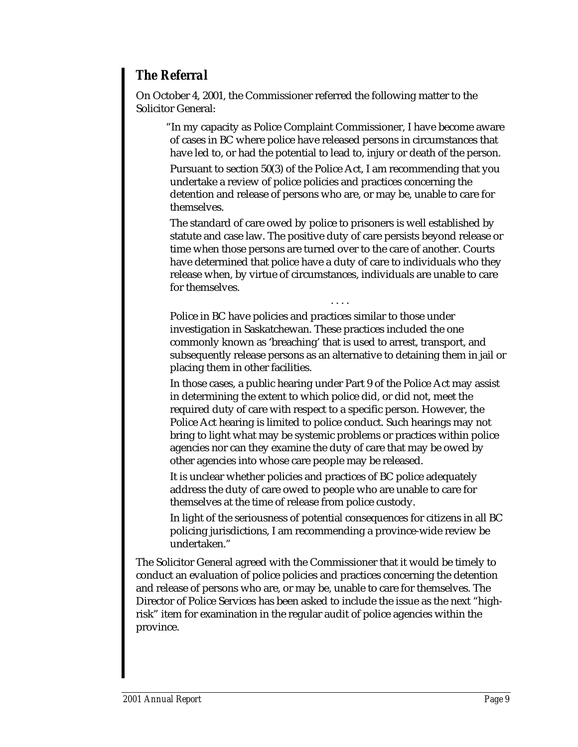### *The Referral*

On October 4, 2001, the Commissioner referred the following matter to the Solicitor General:

"In my capacity as Police Complaint Commissioner, I have become aware of cases in BC where police have released persons in circumstances that have led to, or had the potential to lead to, injury or death of the person.

Pursuant to section 50(3) of the Police Act, I am recommending that you undertake a review of police policies and practices concerning the detention and release of persons who are, or may be, unable to care for themselves.

The standard of care owed by police to prisoners is well established by statute and case law. The positive duty of care persists beyond release or time when those persons are turned over to the care of another. Courts have determined that police have a duty of care to individuals who they release when, by virtue of circumstances, individuals are unable to care for themselves.

Police in BC have policies and practices similar to those under investigation in Saskatchewan. These practices included the one commonly known as 'breaching' that is used to arrest, transport, and subsequently release persons as an alternative to detaining them in jail or placing them in other facilities.

....

In those cases, a public hearing under Part 9 of the Police Act may assist in determining the extent to which police did, or did not, meet the required duty of care with respect to a specific person. However, the Police Act hearing is limited to police conduct. Such hearings may not bring to light what may be systemic problems or practices within police agencies nor can they examine the duty of care that may be owed by other agencies into whose care people may be released.

It is unclear whether policies and practices of BC police adequately address the duty of care owed to people who are unable to care for themselves at the time of release from police custody.

In light of the seriousness of potential consequences for citizens in all BC policing jurisdictions, I am recommending a province-wide review be undertaken."

The Solicitor General agreed with the Commissioner that it would be timely to conduct an evaluation of police policies and practices concerning the detention and release of persons who are, or may be, unable to care for themselves. The Director of Police Services has been asked to include the issue as the next "highrisk" item for examination in the regular audit of police agencies within the province.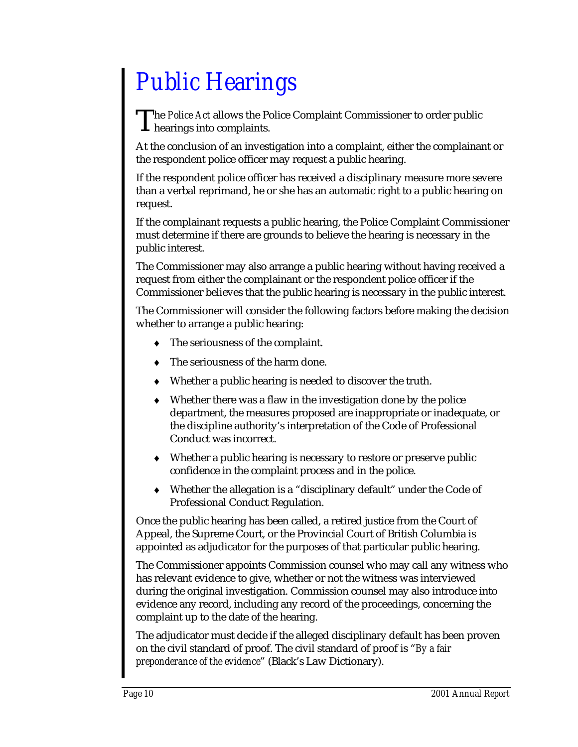## *Public Hearings*

he *Police Act* allows the Police Complaint Commissioner to order public The *Police Act* allows the Police and Separates.<br> **Thearings into complaints.** 

At the conclusion of an investigation into a complaint, either the complainant or the respondent police officer may request a public hearing.

If the respondent police officer has received a disciplinary measure more severe than a verbal reprimand, he or she has an automatic right to a public hearing on request.

If the complainant requests a public hearing, the Police Complaint Commissioner must determine if there are grounds to believe the hearing is necessary in the public interest.

The Commissioner may also arrange a public hearing without having received a request from either the complainant or the respondent police officer if the Commissioner believes that the public hearing is necessary in the public interest.

The Commissioner will consider the following factors before making the decision whether to arrange a public hearing:

- ♦ The seriousness of the complaint.
- The seriousness of the harm done.
- Whether a public hearing is needed to discover the truth.
- Whether there was a flaw in the investigation done by the police department, the measures proposed are inappropriate or inadequate, or the discipline authority's interpretation of the Code of Professional Conduct was incorrect.
- Whether a public hearing is necessary to restore or preserve public confidence in the complaint process and in the police.
- Whether the allegation is a "disciplinary default" under the Code of Professional Conduct Regulation.

Once the public hearing has been called, a retired justice from the Court of Appeal, the Supreme Court, or the Provincial Court of British Columbia is appointed as adjudicator for the purposes of that particular public hearing.

The Commissioner appoints Commission counsel who may call any witness who has relevant evidence to give, whether or not the witness was interviewed during the original investigation. Commission counsel may also introduce into evidence any record, including any record of the proceedings, concerning the complaint up to the date of the hearing.

The adjudicator must decide if the alleged disciplinary default has been proven on the civil standard of proof. The civil standard of proof is "*By a fair preponderance of the evidence*" (Black's Law Dictionary).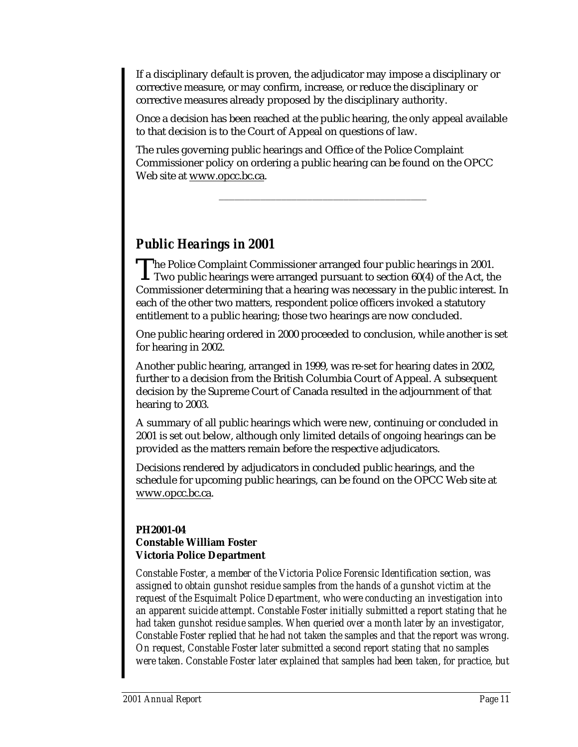If a disciplinary default is proven, the adjudicator may impose a disciplinary or corrective measure, or may confirm, increase, or reduce the disciplinary or corrective measures already proposed by the disciplinary authority.

Once a decision has been reached at the public hearing, the only appeal available to that decision is to the Court of Appeal on questions of law.

The rules governing public hearings and Office of the Police Complaint Commissioner policy on ordering a public hearing can be found on the OPCC Web site at www.opcc.bc.ca.

\_\_\_\_\_\_\_\_\_\_\_\_\_\_\_\_\_\_\_\_\_\_\_\_\_\_\_\_\_\_\_\_\_\_\_\_\_\_\_\_

### *Public Hearings in 2001*

The Police Complaint Commissioner arranged four public hearings in 2001.<br>Two public hearings were arranged pursuant to section 60(4) of the Act, the  $\perp$  Two public hearings were arranged pursuant to section 60(4) of the Act, the Commissioner determining that a hearing was necessary in the public interest. In each of the other two matters, respondent police officers invoked a statutory entitlement to a public hearing; those two hearings are now concluded.

One public hearing ordered in 2000 proceeded to conclusion, while another is set for hearing in 2002.

Another public hearing, arranged in 1999, was re-set for hearing dates in 2002, further to a decision from the British Columbia Court of Appeal. A subsequent decision by the Supreme Court of Canada resulted in the adjournment of that hearing to 2003.

A summary of all public hearings which were new, continuing or concluded in 2001 is set out below, although only limited details of ongoing hearings can be provided as the matters remain before the respective adjudicators.

Decisions rendered by adjudicators in concluded public hearings, and the schedule for upcoming public hearings, can be found on the OPCC Web site at www.opcc.bc.ca.

#### **PH2001-04 Constable William Foster Victoria Police Department**

*Constable Foster, a member of the Victoria Police Forensic Identification section, was assigned to obtain gunshot residue samples from the hands of a gunshot victim at the request of the Esquimalt Police Department, who were conducting an investigation into an apparent suicide attempt. Constable Foster initially submitted a report stating that he had taken gunshot residue samples. When queried over a month later by an investigator, Constable Foster replied that he had not taken the samples and that the report was wrong. On request, Constable Foster later submitted a second report stating that no samples were taken. Constable Foster later explained that samples had been taken, for practice, but*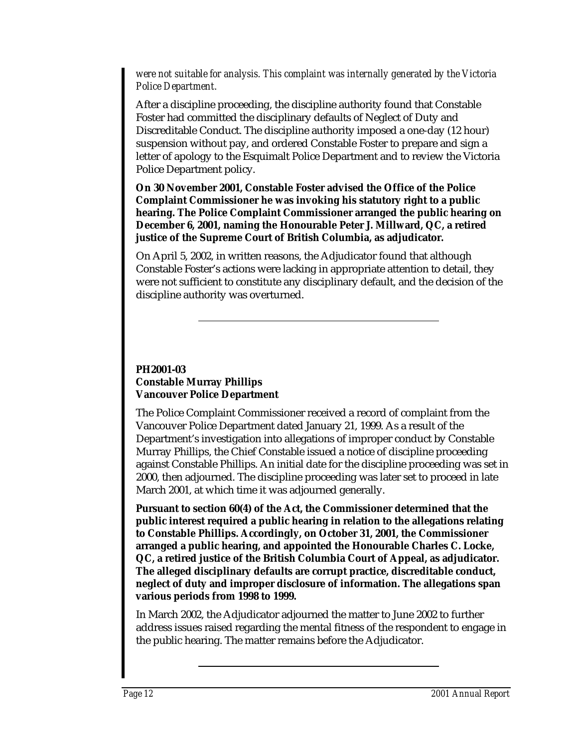*were not suitable for analysis. This complaint was internally generated by the Victoria Police Department.*

After a discipline proceeding, the discipline authority found that Constable Foster had committed the disciplinary defaults of Neglect of Duty and Discreditable Conduct. The discipline authority imposed a one-day (12 hour) suspension without pay, and ordered Constable Foster to prepare and sign a letter of apology to the Esquimalt Police Department and to review the Victoria Police Department policy.

**On 30 November 2001, Constable Foster advised the Office of the Police Complaint Commissioner he was invoking his statutory right to a public hearing. The Police Complaint Commissioner arranged the public hearing on December 6, 2001, naming the Honourable Peter J. Millward, QC, a retired justice of the Supreme Court of British Columbia, as adjudicator.**

On April 5, 2002, in written reasons, the Adjudicator found that although Constable Foster's actions were lacking in appropriate attention to detail, they were not sufficient to constitute any disciplinary default, and the decision of the discipline authority was overturned.

#### **PH2001-03 Constable Murray Phillips Vancouver Police Department**

The Police Complaint Commissioner received a record of complaint from the Vancouver Police Department dated January 21, 1999. As a result of the Department's investigation into allegations of improper conduct by Constable Murray Phillips, the Chief Constable issued a notice of discipline proceeding against Constable Phillips. An initial date for the discipline proceeding was set in 2000, then adjourned. The discipline proceeding was later set to proceed in late March 2001, at which time it was adjourned generally.

**Pursuant to section 60(4) of the Act, the Commissioner determined that the public interest required a public hearing in relation to the allegations relating to Constable Phillips. Accordingly, on October 31, 2001, the Commissioner arranged a public hearing, and appointed the Honourable Charles C. Locke, QC, a retired justice of the British Columbia Court of Appeal, as adjudicator. The alleged disciplinary defaults are corrupt practice, discreditable conduct, neglect of duty and improper disclosure of information. The allegations span various periods from 1998 to 1999.**

In March 2002, the Adjudicator adjourned the matter to June 2002 to further address issues raised regarding the mental fitness of the respondent to engage in the public hearing. The matter remains before the Adjudicator.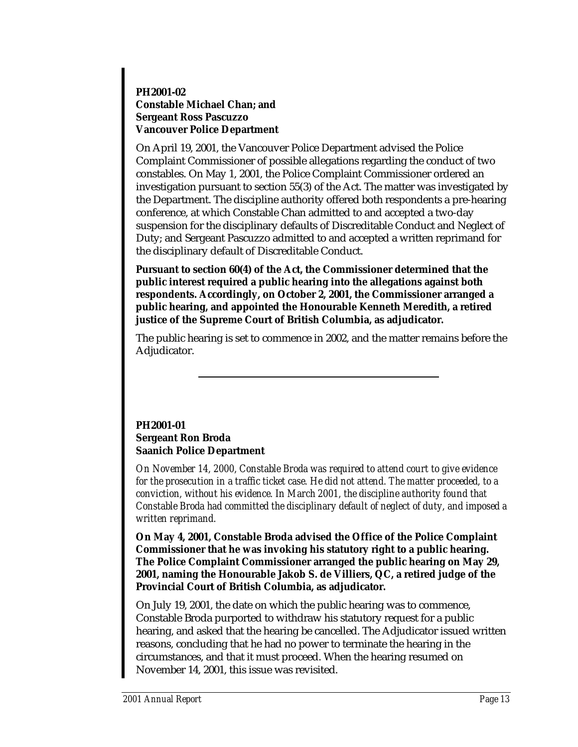### **PH2001-02 Constable Michael Chan; and Sergeant Ross Pascuzzo Vancouver Police Department**

On April 19, 2001, the Vancouver Police Department advised the Police Complaint Commissioner of possible allegations regarding the conduct of two constables. On May 1, 2001, the Police Complaint Commissioner ordered an investigation pursuant to section 55(3) of the Act. The matter was investigated by the Department. The discipline authority offered both respondents a pre-hearing conference, at which Constable Chan admitted to and accepted a two-day suspension for the disciplinary defaults of Discreditable Conduct and Neglect of Duty; and Sergeant Pascuzzo admitted to and accepted a written reprimand for the disciplinary default of Discreditable Conduct.

**Pursuant to section 60(4) of the Act, the Commissioner determined that the public interest required a public hearing into the allegations against both respondents. Accordingly, on October 2, 2001, the Commissioner arranged a public hearing, and appointed the Honourable Kenneth Meredith, a retired justice of the Supreme Court of British Columbia, as adjudicator.**

The public hearing is set to commence in 2002, and the matter remains before the Adjudicator.

### **PH2001-01 Sergeant Ron Broda Saanich Police Department**

*On November 14, 2000, Constable Broda was required to attend court to give evidence for the prosecution in a traffic ticket case. He did not attend. The matter proceeded, to a conviction, without his evidence. In March 2001, the discipline authority found that Constable Broda had committed the disciplinary default of neglect of duty, and imposed a written reprimand.*

**On May 4, 2001, Constable Broda advised the Office of the Police Complaint Commissioner that he was invoking his statutory right to a public hearing. The Police Complaint Commissioner arranged the public hearing on May 29, 2001, naming the Honourable Jakob S. de Villiers, QC, a retired judge of the Provincial Court of British Columbia, as adjudicator.**

On July 19, 2001, the date on which the public hearing was to commence, Constable Broda purported to withdraw his statutory request for a public hearing, and asked that the hearing be cancelled. The Adjudicator issued written reasons, concluding that he had no power to terminate the hearing in the circumstances, and that it must proceed. When the hearing resumed on November 14, 2001, this issue was revisited.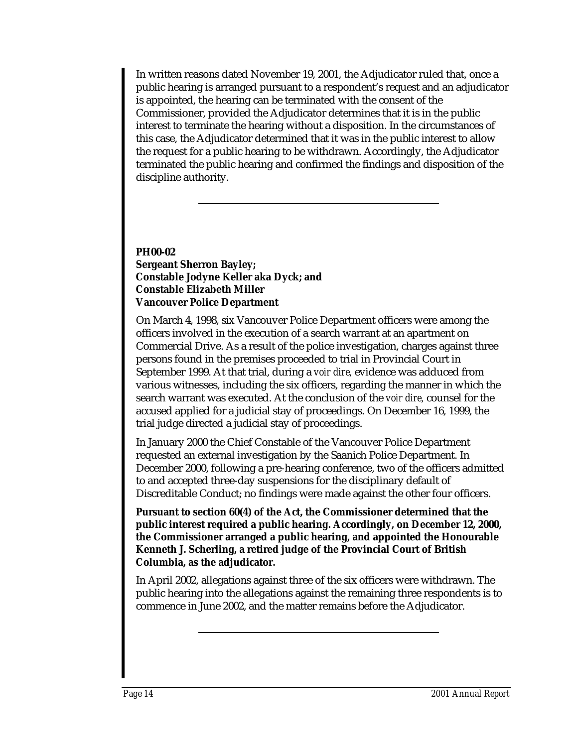In written reasons dated November 19, 2001, the Adjudicator ruled that, once a public hearing is arranged pursuant to a respondent's request and an adjudicator is appointed, the hearing can be terminated with the consent of the Commissioner, provided the Adjudicator determines that it is in the public interest to terminate the hearing without a disposition. In the circumstances of this case, the Adjudicator determined that it was in the public interest to allow the request for a public hearing to be withdrawn. Accordingly, the Adjudicator terminated the public hearing and confirmed the findings and disposition of the discipline authority.

#### **PH00-02 Sergeant Sherron Bayley; Constable Jodyne Keller aka Dyck; and Constable Elizabeth Miller Vancouver Police Department**

On March 4, 1998, six Vancouver Police Department officers were among the officers involved in the execution of a search warrant at an apartment on Commercial Drive. As a result of the police investigation, charges against three persons found in the premises proceeded to trial in Provincial Court in September 1999. At that trial, during a *voir dire,* evidence was adduced from various witnesses, including the six officers, regarding the manner in which the search warrant was executed. At the conclusion of the *voir dire,* counsel for the accused applied for a judicial stay of proceedings. On December 16, 1999, the trial judge directed a judicial stay of proceedings.

In January 2000 the Chief Constable of the Vancouver Police Department requested an external investigation by the Saanich Police Department. In December 2000, following a pre-hearing conference, two of the officers admitted to and accepted three-day suspensions for the disciplinary default of Discreditable Conduct; no findings were made against the other four officers.

**Pursuant to section 60(4) of the Act, the Commissioner determined that the public interest required a public hearing. Accordingly, on December 12, 2000, the Commissioner arranged a public hearing, and appointed the Honourable Kenneth J. Scherling, a retired judge of the Provincial Court of British Columbia, as the adjudicator.**

In April 2002, allegations against three of the six officers were withdrawn. The public hearing into the allegations against the remaining three respondents is to commence in June 2002, and the matter remains before the Adjudicator.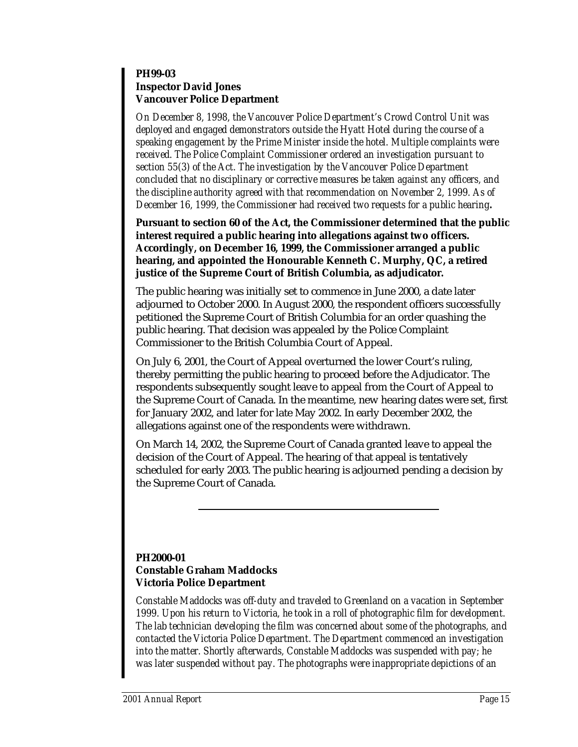#### **PH99-03 Inspector David Jones Vancouver Police Department**

*On December 8, 1998, the Vancouver Police Department's Crowd Control Unit was deployed and engaged demonstrators outside the Hyatt Hotel during the course of a speaking engagement by the Prime Minister inside the hotel. Multiple complaints were received. The Police Complaint Commissioner ordered an investigation pursuant to section 55(3) of the Act. The investigation by the Vancouver Police Department concluded that no disciplinary or corrective measures be taken against any officers, and the discipline authority agreed with that recommendation on November 2, 1999. As of December 16, 1999, the Commissioner had received two requests for a public hearing.*

**Pursuant to section 60 of the Act, the Commissioner determined that the public interest required a public hearing into allegations against two officers. Accordingly, on December 16, 1999, the Commissioner arranged a public hearing, and appointed the Honourable Kenneth C. Murphy, QC, a retired justice of the Supreme Court of British Columbia, as adjudicator.**

The public hearing was initially set to commence in June 2000, a date later adjourned to October 2000. In August 2000, the respondent officers successfully petitioned the Supreme Court of British Columbia for an order quashing the public hearing. That decision was appealed by the Police Complaint Commissioner to the British Columbia Court of Appeal.

On July 6, 2001, the Court of Appeal overturned the lower Court's ruling, thereby permitting the public hearing to proceed before the Adjudicator. The respondents subsequently sought leave to appeal from the Court of Appeal to the Supreme Court of Canada. In the meantime, new hearing dates were set, first for January 2002, and later for late May 2002. In early December 2002, the allegations against one of the respondents were withdrawn.

On March 14, 2002, the Supreme Court of Canada granted leave to appeal the decision of the Court of Appeal. The hearing of that appeal is tentatively scheduled for early 2003. The public hearing is adjourned pending a decision by the Supreme Court of Canada.

#### **PH2000-01 Constable Graham Maddocks Victoria Police Department**

*Constable Maddocks was off-duty and traveled to Greenland on a vacation in September 1999. Upon his return to Victoria, he took in a roll of photographic film for development. The lab technician developing the film was concerned about some of the photographs, and contacted the Victoria Police Department. The Department commenced an investigation into the matter. Shortly afterwards, Constable Maddocks was suspended with pay; he was later suspended without pay. The photographs were inappropriate depictions of an*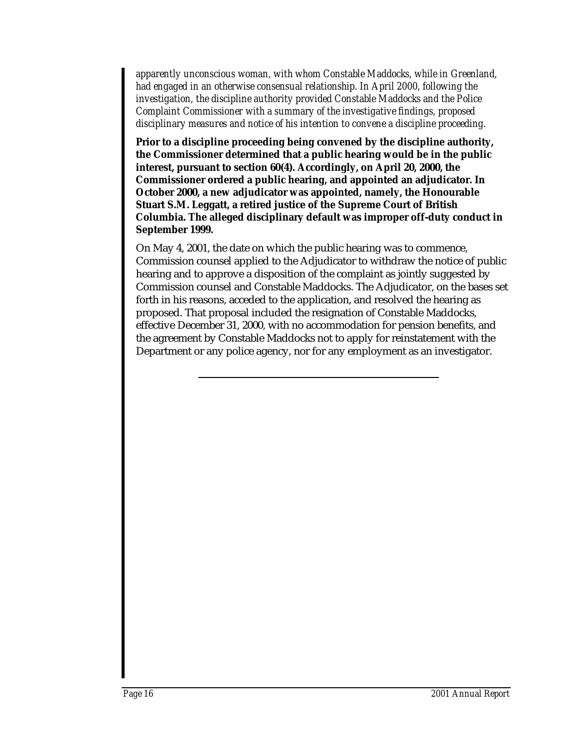*apparently unconscious woman, with whom Constable Maddocks, while in Greenland, had engaged in an otherwise consensual relationship. In April 2000, following the investigation, the discipline authority provided Constable Maddocks and the Police Complaint Commissioner with a summary of the investigative findings, proposed disciplinary measures and notice of his intention to convene a discipline proceeding.*

**Prior to a discipline proceeding being convened by the discipline authority, the Commissioner determined that a public hearing would be in the public interest, pursuant to section 60(4). Accordingly, on April 20, 2000, the Commissioner ordered a public hearing, and appointed an adjudicator. In October 2000, a new adjudicator was appointed, namely, the Honourable Stuart S.M. Leggatt, a retired justice of the Supreme Court of British Columbia. The alleged disciplinary default was improper off-duty conduct in September 1999.**

On May 4, 2001, the date on which the public hearing was to commence, Commission counsel applied to the Adjudicator to withdraw the notice of public hearing and to approve a disposition of the complaint as jointly suggested by Commission counsel and Constable Maddocks. The Adjudicator, on the bases set forth in his reasons, acceded to the application, and resolved the hearing as proposed. That proposal included the resignation of Constable Maddocks, effective December 31, 2000, with no accommodation for pension benefits, and the agreement by Constable Maddocks not to apply for reinstatement with the Department or any police agency, nor for any employment as an investigator.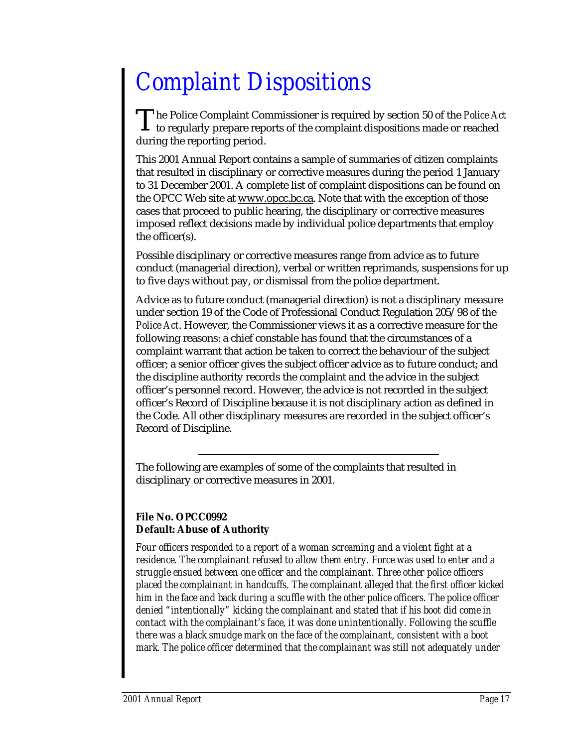## *Complaint Dispositions*

he Police Complaint Commissioner is required by section 50 of the *Police Act* The Police Complaint Commissioner is required by section 50 of the *Police A* to regularly prepare reports of the complaint dispositions made or reached during the reporting period.

This 2001 Annual Report contains a sample of summaries of citizen complaints that resulted in disciplinary or corrective measures during the period 1 January to 31 December 2001. A complete list of complaint dispositions can be found on the OPCC Web site at www.opcc.bc.ca. Note that with the exception of those cases that proceed to public hearing, the disciplinary or corrective measures imposed reflect decisions made by individual police departments that employ the officer(s).

Possible disciplinary or corrective measures range from advice as to future conduct (managerial direction), verbal or written reprimands, suspensions for up to five days without pay, or dismissal from the police department.

Advice as to future conduct (managerial direction) is not a disciplinary measure under section 19 of the Code of Professional Conduct Regulation 205/98 of the *Police Act*. However, the Commissioner views it as a corrective measure for the following reasons: a chief constable has found that the circumstances of a complaint warrant that action be taken to correct the behaviour of the subject officer; a senior officer gives the subject officer advice as to future conduct; and the discipline authority records the complaint and the advice in the subject officer's personnel record. However, the advice is not recorded in the subject officer's Record of Discipline because it is not disciplinary action as defined in the Code. All other disciplinary measures are recorded in the subject officer's Record of Discipline.

The following are examples of some of the complaints that resulted in disciplinary or corrective measures in 2001.

### **File No. OPCC0992 Default: Abuse of Authority**

*Four officers responded to a report of a woman screaming and a violent fight at a residence. The complainant refused to allow them entry. Force was used to enter and a struggle ensued between one officer and the complainant. Three other police officers placed the complainant in handcuffs. The complainant alleged that the first officer kicked him in the face and back during a scuffle with the other police officers. The police officer denied "intentionally" kicking the complainant and stated that if his boot did come in contact with the complainant's face, it was done unintentionally. Following the scuffle there was a black smudge mark on the face of the complainant, consistent with a boot mark. The police officer determined that the complainant was still not adequately under*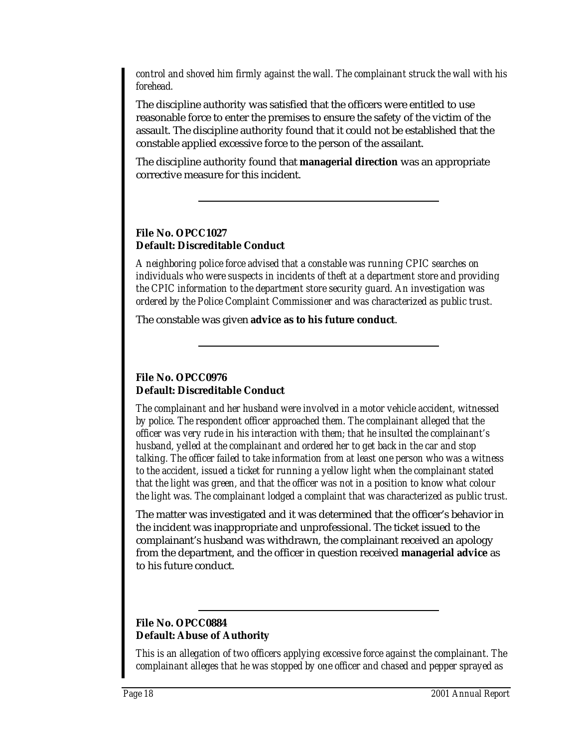*control and shoved him firmly against the wall. The complainant struck the wall with his forehead.*

The discipline authority was satisfied that the officers were entitled to use reasonable force to enter the premises to ensure the safety of the victim of the assault. The discipline authority found that it could not be established that the constable applied excessive force to the person of the assailant.

The discipline authority found that **managerial direction** was an appropriate corrective measure for this incident.

#### **File No. OPCC1027 Default: Discreditable Conduct**

*A neighboring police force advised that a constable was running CPIC searches on individuals who were suspects in incidents of theft at a department store and providing the CPIC information to the department store security guard. An investigation was ordered by the Police Complaint Commissioner and was characterized as public trust.*

The constable was given **advice as to his future conduct**.

### **File No. OPCC0976 Default: Discreditable Conduct**

*The complainant and her husband were involved in a motor vehicle accident, witnessed by police. The respondent officer approached them. The complainant alleged that the officer was very rude in his interaction with them; that he insulted the complainant's husband, yelled at the complainant and ordered her to get back in the car and stop talking. The officer failed to take information from at least one person who was a witness to the accident, issued a ticket for running a yellow light when the complainant stated that the light was green, and that the officer was not in a position to know what colour the light was. The complainant lodged a complaint that was characterized as public trust.*

The matter was investigated and it was determined that the officer's behavior in the incident was inappropriate and unprofessional. The ticket issued to the complainant's husband was withdrawn, the complainant received an apology from the department, and the officer in question received **managerial advice** as to his future conduct.

### **File No. OPCC0884 Default: Abuse of Authority**

*This is an allegation of two officers applying excessive force against the complainant. The complainant alleges that he was stopped by one officer and chased and pepper sprayed as*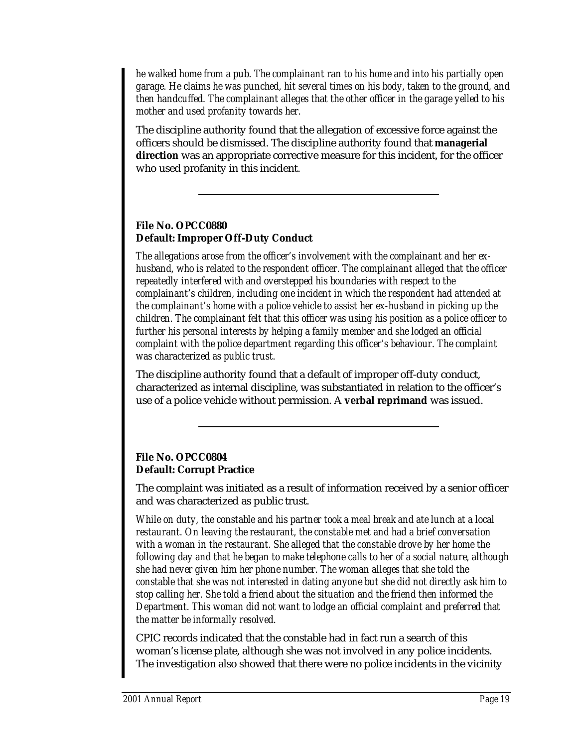*he walked home from a pub. The complainant ran to his home and into his partially open garage. He claims he was punched, hit several times on his body, taken to the ground, and then handcuffed. The complainant alleges that the other officer in the garage yelled to his mother and used profanity towards her.*

The discipline authority found that the allegation of excessive force against the officers should be dismissed. The discipline authority found that **managerial direction** was an appropriate corrective measure for this incident, for the officer who used profanity in this incident.

### **File No. OPCC0880 Default: Improper Off-Duty Conduct**

*The allegations arose from the officer's involvement with the complainant and her exhusband, who is related to the respondent officer. The complainant alleged that the officer repeatedly interfered with and overstepped his boundaries with respect to the complainant's children, including one incident in which the respondent had attended at the complainant's home with a police vehicle to assist her ex-husband in picking up the children. The complainant felt that this officer was using his position as a police officer to further his personal interests by helping a family member and she lodged an official complaint with the police department regarding this officer's behaviour. The complaint was characterized as public trust.*

The discipline authority found that a default of improper off-duty conduct, characterized as internal discipline, was substantiated in relation to the officer's use of a police vehicle without permission. A **verbal reprimand** was issued.

### **File No. OPCC0804 Default: Corrupt Practice**

The complaint was initiated as a result of information received by a senior officer and was characterized as public trust.

*While on duty, the constable and his partner took a meal break and ate lunch at a local restaurant. On leaving the restaurant, the constable met and had a brief conversation with a woman in the restaurant. She alleged that the constable drove by her home the following day and that he began to make telephone calls to her of a social nature, although she had never given him her phone number. The woman alleges that she told the constable that she was not interested in dating anyone but she did not directly ask him to stop calling her. She told a friend about the situation and the friend then informed the Department. This woman did not want to lodge an official complaint and preferred that the matter be informally resolved.*

CPIC records indicated that the constable had in fact run a search of this woman's license plate, although she was not involved in any police incidents. The investigation also showed that there were no police incidents in the vicinity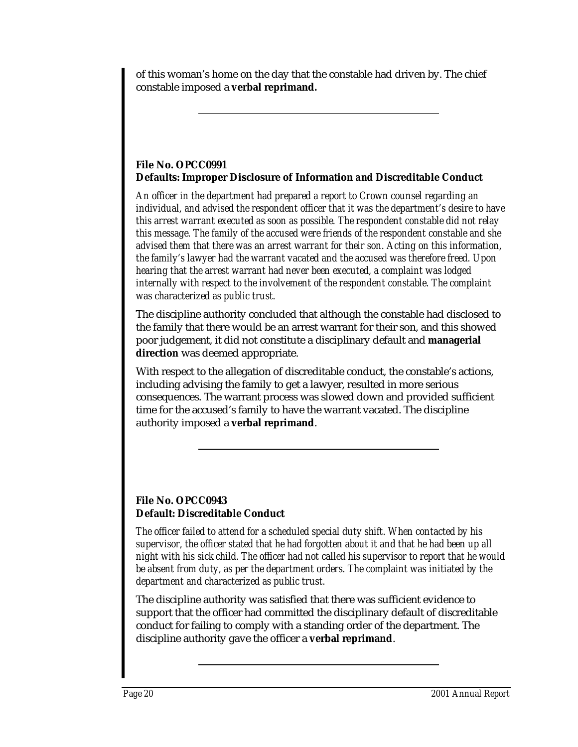of this woman's home on the day that the constable had driven by. The chief constable imposed a **verbal reprimand.**

### **File No. OPCC0991 Defaults: Improper Disclosure of Information** *and* **Discreditable Conduct**

*An officer in the department had prepared a report to Crown counsel regarding an individual, and advised the respondent officer that it was the department's desire to have this arrest warrant executed as soon as possible. The respondent constable did not relay this message. The family of the accused were friends of the respondent constable and she advised them that there was an arrest warrant for their son. Acting on this information, the family's lawyer had the warrant vacated and the accused was therefore freed. Upon hearing that the arrest warrant had never been executed, a complaint was lodged internally with respect to the involvement of the respondent constable. The complaint was characterized as public trust.*

The discipline authority concluded that although the constable had disclosed to the family that there would be an arrest warrant for their son, and this showed poor judgement, it did not constitute a disciplinary default and **managerial direction** was deemed appropriate.

With respect to the allegation of discreditable conduct, the constable's actions, including advising the family to get a lawyer, resulted in more serious consequences. The warrant process was slowed down and provided sufficient time for the accused's family to have the warrant vacated. The discipline authority imposed a **verbal reprimand**.

### **File No. OPCC0943 Default: Discreditable Conduct**

*The officer failed to attend for a scheduled special duty shift. When contacted by his supervisor, the officer stated that he had forgotten about it and that he had been up all night with his sick child. The officer had not called his supervisor to report that he would be absent from duty, as per the department orders. The complaint was initiated by the department and characterized as public trust.*

The discipline authority was satisfied that there was sufficient evidence to support that the officer had committed the disciplinary default of discreditable conduct for failing to comply with a standing order of the department. The discipline authority gave the officer a **verbal reprimand**.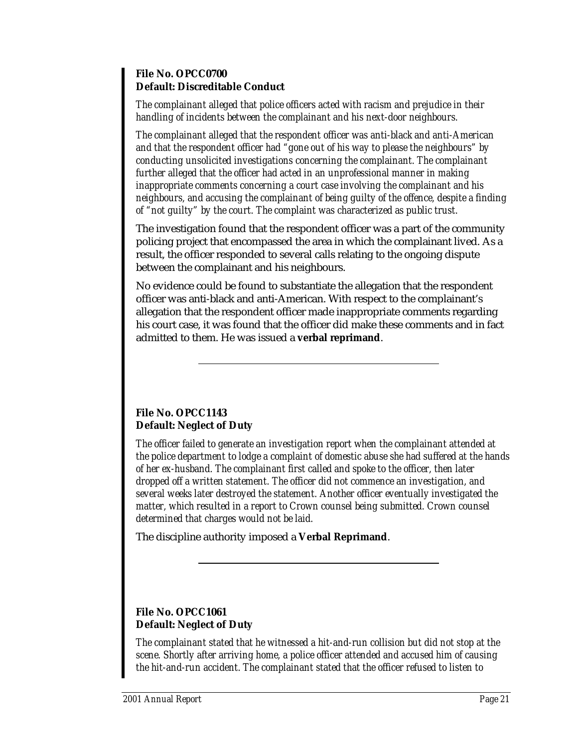#### **File No. OPCC0700 Default: Discreditable Conduct**

*The complainant alleged that police officers acted with racism and prejudice in their handling of incidents between the complainant and his next-door neighbours.*

*The complainant alleged that the respondent officer was anti-black and anti-American and that the respondent officer had "gone out of his way to please the neighbours" by conducting unsolicited investigations concerning the complainant. The complainant further alleged that the officer had acted in an unprofessional manner in making inappropriate comments concerning a court case involving the complainant and his neighbours, and accusing the complainant of being guilty of the offence, despite a finding of "not guilty" by the court. The complaint was characterized as public trust.*

The investigation found that the respondent officer was a part of the community policing project that encompassed the area in which the complainant lived. As a result, the officer responded to several calls relating to the ongoing dispute between the complainant and his neighbours.

No evidence could be found to substantiate the allegation that the respondent officer was anti-black and anti-American. With respect to the complainant's allegation that the respondent officer made inappropriate comments regarding his court case, it was found that the officer did make these comments and in fact admitted to them. He was issued a **verbal reprimand**.

### **File No. OPCC1143 Default: Neglect of Duty**

*The officer failed to generate an investigation report when the complainant attended at the police department to lodge a complaint of domestic abuse she had suffered at the hands of her ex-husband. The complainant first called and spoke to the officer, then later dropped off a written statement. The officer did not commence an investigation, and several weeks later destroyed the statement. Another officer eventually investigated the matter, which resulted in a report to Crown counsel being submitted. Crown counsel determined that charges would not be laid.*

The discipline authority imposed a **Verbal Reprimand**.

### **File No. OPCC1061 Default: Neglect of Duty**

*The complainant stated that he witnessed a hit-and-run collision but did not stop at the scene. Shortly after arriving home, a police officer attended and accused him of causing the hit-and-run accident. The complainant stated that the officer refused to listen to*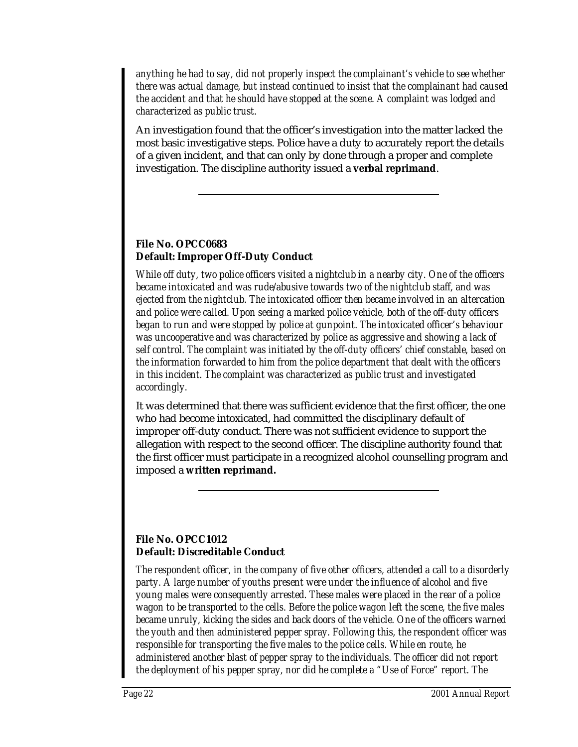*anything he had to say, did not properly inspect the complainant's vehicle to see whether there was actual damage, but instead continued to insist that the complainant had caused the accident and that he should have stopped at the scene. A complaint was lodged and characterized as public trust.*

An investigation found that the officer's investigation into the matter lacked the most basic investigative steps. Police have a duty to accurately report the details of a given incident, and that can only by done through a proper and complete investigation. The discipline authority issued a **verbal reprimand**.

### **File No. OPCC0683 Default: Improper Off-Duty Conduct**

*While off duty, two police officers visited a nightclub in a nearby city. One of the officers became intoxicated and was rude/abusive towards two of the nightclub staff, and was ejected from the nightclub. The intoxicated officer then became involved in an altercation and police were called. Upon seeing a marked police vehicle, both of the off-duty officers began to run and were stopped by police at gunpoint. The intoxicated officer's behaviour was uncooperative and was characterized by police as aggressive and showing a lack of self control. The complaint was initiated by the off-duty officers' chief constable, based on the information forwarded to him from the police department that dealt with the officers in this incident. The complaint was characterized as public trust and investigated accordingly.*

It was determined that there was sufficient evidence that the first officer, the one who had become intoxicated, had committed the disciplinary default of improper off-duty conduct. There was not sufficient evidence to support the allegation with respect to the second officer. The discipline authority found that the first officer must participate in a recognized alcohol counselling program and imposed a **written reprimand.**

### **File No. OPCC1012 Default: Discreditable Conduct**

*The respondent officer, in the company of five other officers, attended a call to a disorderly party. A large number of youths present were under the influence of alcohol and five young males were consequently arrested. These males were placed in the rear of a police wagon to be transported to the cells. Before the police wagon left the scene, the five males became unruly, kicking the sides and back doors of the vehicle. One of the officers warned the youth and then administered pepper spray. Following this, the respondent officer was responsible for transporting the five males to the police cells. While en route, he administered another blast of pepper spray to the individuals. The officer did not report the deployment of his pepper spray, nor did he complete a "Use of Force" report. The*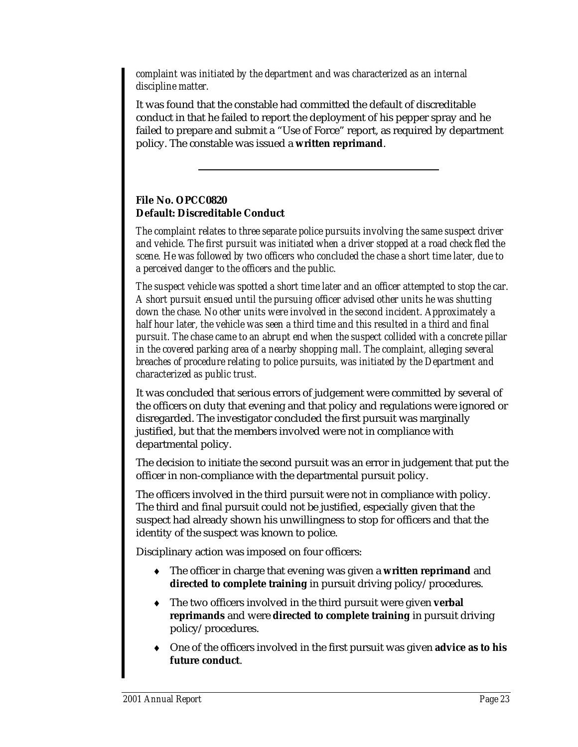*complaint was initiated by the department and was characterized as an internal discipline matter.*

It was found that the constable had committed the default of discreditable conduct in that he failed to report the deployment of his pepper spray and he failed to prepare and submit a "Use of Force" report, as required by department policy. The constable was issued a **written reprimand**.

### **File No. OPCC0820 Default: Discreditable Conduct**

*The complaint relates to three separate police pursuits involving the same suspect driver and vehicle. The first pursuit was initiated when a driver stopped at a road check fled the scene. He was followed by two officers who concluded the chase a short time later, due to a perceived danger to the officers and the public.*

*The suspect vehicle was spotted a short time later and an officer attempted to stop the car. A short pursuit ensued until the pursuing officer advised other units he was shutting down the chase. No other units were involved in the second incident. Approximately a half hour later, the vehicle was seen a third time and this resulted in a third and final pursuit. The chase came to an abrupt end when the suspect collided with a concrete pillar in the covered parking area of a nearby shopping mall. The complaint, alleging several breaches of procedure relating to police pursuits, was initiated by the Department and characterized as public trust.*

It was concluded that serious errors of judgement were committed by several of the officers on duty that evening and that policy and regulations were ignored or disregarded. The investigator concluded the first pursuit was marginally justified, but that the members involved were not in compliance with departmental policy.

The decision to initiate the second pursuit was an error in judgement that put the officer in non-compliance with the departmental pursuit policy.

The officers involved in the third pursuit were not in compliance with policy. The third and final pursuit could not be justified, especially given that the suspect had already shown his unwillingness to stop for officers and that the identity of the suspect was known to police.

Disciplinary action was imposed on four officers:

- ♦ The officer in charge that evening was given a **written reprimand** and **directed to complete training** in pursuit driving policy/procedures.
- ♦ The two officers involved in the third pursuit were given **verbal reprimands** and were **directed to complete training** in pursuit driving policy/procedures.
- ♦ One of the officers involved in the first pursuit was given **advice as to his future conduct**.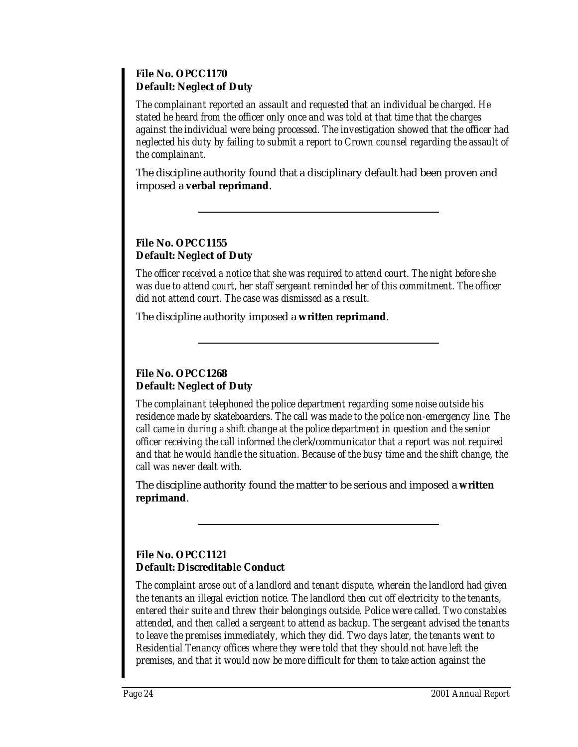#### **File No. OPCC1170 Default: Neglect of Duty**

*The complainant reported an assault and requested that an individual be charged. He stated he heard from the officer only once and was told at that time that the charges against the individual were being processed. The investigation showed that the officer had neglected his duty by failing to submit a report to Crown counsel regarding the assault of the complainant.*

The discipline authority found that a disciplinary default had been proven and imposed a **verbal reprimand**.

### **File No. OPCC1155 Default: Neglect of Duty**

*The officer received a notice that she was required to attend court. The night before she was due to attend court, her staff sergeant reminded her of this commitment. The officer did not attend court. The case was dismissed as a result.*

The discipline authority imposed a **written reprimand**.

### **File No. OPCC1268 Default: Neglect of Duty**

*The complainant telephoned the police department regarding some noise outside his residence made by skateboarders. The call was made to the police non-emergency line. The call came in during a shift change at the police department in question and the senior officer receiving the call informed the clerk/communicator that a report was not required and that he would handle the situation. Because of the busy time and the shift change, the call was never dealt with.*

The discipline authority found the matter to be serious and imposed a **written reprimand**.

### **File No. OPCC1121 Default: Discreditable Conduct**

*The complaint arose out of a landlord and tenant dispute, wherein the landlord had given the tenants an illegal eviction notice. The landlord then cut off electricity to the tenants, entered their suite and threw their belongings outside. Police were called. Two constables attended, and then called a sergeant to attend as backup. The sergeant advised the tenants to leave the premises immediately, which they did. Two days later, the tenants went to Residential Tenancy offices where they were told that they should not have left the premises, and that it would now be more difficult for them to take action against the*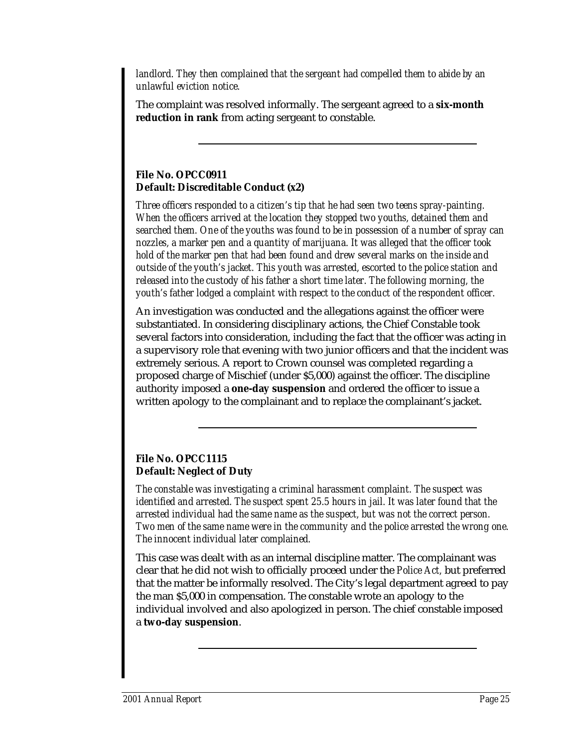*landlord. They then complained that the sergeant had compelled them to abide by an unlawful eviction notice.*

The complaint was resolved informally. The sergeant agreed to a **six-month reduction in rank** from acting sergeant to constable.

### **File No. OPCC0911 Default: Discreditable Conduct (x2)**

*Three officers responded to a citizen's tip that he had seen two teens spray-painting. When the officers arrived at the location they stopped two youths, detained them and searched them. One of the youths was found to be in possession of a number of spray can nozzles, a marker pen and a quantity of marijuana. It was alleged that the officer took hold of the marker pen that had been found and drew several marks on the inside and outside of the youth's jacket. This youth was arrested, escorted to the police station and released into the custody of his father a short time later. The following morning, the youth's father lodged a complaint with respect to the conduct of the respondent officer.*

An investigation was conducted and the allegations against the officer were substantiated. In considering disciplinary actions, the Chief Constable took several factors into consideration, including the fact that the officer was acting in a supervisory role that evening with two junior officers and that the incident was extremely serious. A report to Crown counsel was completed regarding a proposed charge of Mischief (under \$5,000) against the officer. The discipline authority imposed a **one-day suspension** and ordered the officer to issue a written apology to the complainant and to replace the complainant's jacket.

### **File No. OPCC1115 Default: Neglect of Duty**

*The constable was investigating a criminal harassment complaint. The suspect was identified and arrested. The suspect spent 25.5 hours in jail. It was later found that the arrested individual had the same name as the suspect, but was not the correct person. Two men of the same name were in the community and the police arrested the wrong one. The innocent individual later complained.*

This case was dealt with as an internal discipline matter. The complainant was clear that he did not wish to officially proceed under the *Police Act,* but preferred that the matter be informally resolved. The City's legal department agreed to pay the man \$5,000 in compensation. The constable wrote an apology to the individual involved and also apologized in person. The chief constable imposed a **two-day suspension**.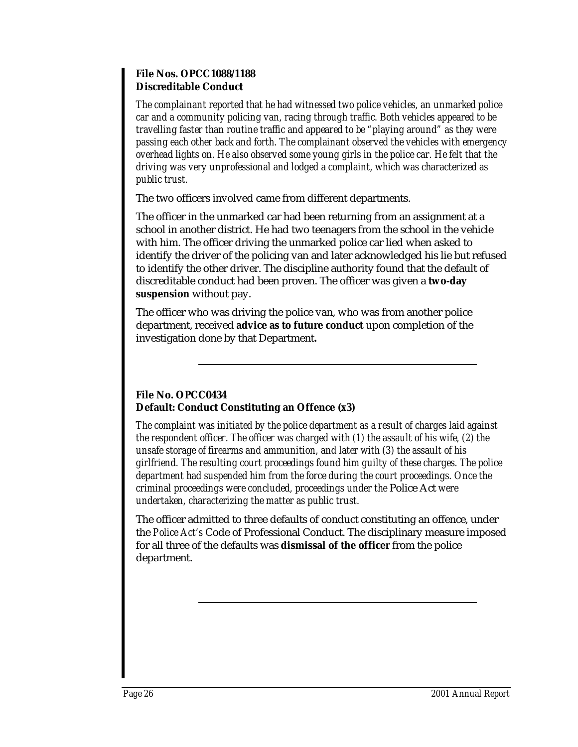#### **File Nos. OPCC1088/1188 Discreditable Conduct**

*The complainant reported that he had witnessed two police vehicles, an unmarked police car and a community policing van, racing through traffic. Both vehicles appeared to be travelling faster than routine traffic and appeared to be "playing around" as they were passing each other back and forth. The complainant observed the vehicles with emergency overhead lights on. He also observed some young girls in the police car. He felt that the driving was very unprofessional and lodged a complaint, which was characterized as public trust.*

The two officers involved came from different departments.

The officer in the unmarked car had been returning from an assignment at a school in another district. He had two teenagers from the school in the vehicle with him. The officer driving the unmarked police car lied when asked to identify the driver of the policing van and later acknowledged his lie but refused to identify the other driver. The discipline authority found that the default of discreditable conduct had been proven. The officer was given a **two-day suspension** without pay.

The officer who was driving the police van, who was from another police department, received **advice as to future conduct** upon completion of the investigation done by that Department**.**

### **File No. OPCC0434 Default: Conduct Constituting an Offence (x3)**

*The complaint was initiated by the police department as a result of charges laid against the respondent officer. The officer was charged with (1) the assault of his wife, (2) the unsafe storage of firearms and ammunition, and later with (3) the assault of his girlfriend. The resulting court proceedings found him guilty of these charges. The police department had suspended him from the force during the court proceedings. Once the criminal proceedings were concluded, proceedings under the* Police Act *were undertaken, characterizing the matter as public trust.*

The officer admitted to three defaults of conduct constituting an offence, under the *Police Act's* Code of Professional Conduct. The disciplinary measure imposed for all three of the defaults was **dismissal of the officer** from the police department.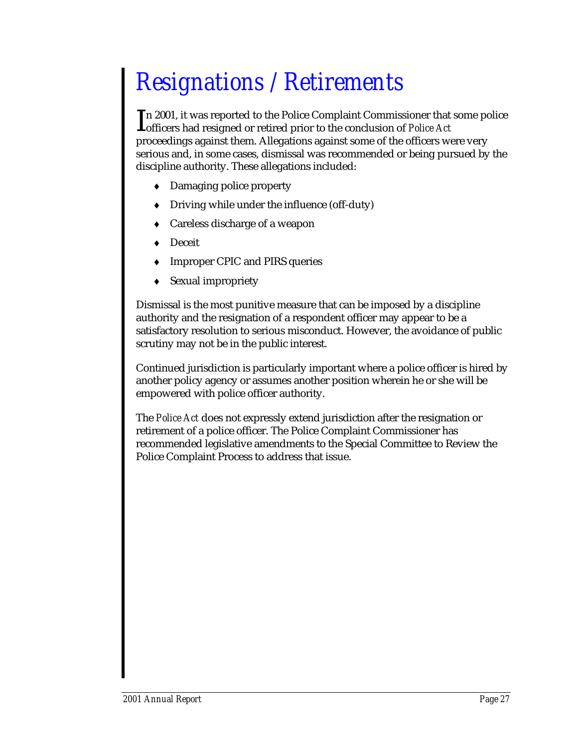## *Resignations / Retirements*

n 2001, it was reported to the Police Complaint Commissioner that some police In 2001, it was reported to the Police Complaint Commissioner that<br> **In 2001, it was reported or retired prior to the conclusion of** *Police Act* proceedings against them. Allegations against some of the officers were very serious and, in some cases, dismissal was recommended or being pursued by the discipline authority. These allegations included:

- ♦ Damaging police property
- **Driving while under the influence (off-duty)**
- Careless discharge of a weapon
- Deceit
- Improper CPIC and PIRS queries
- Sexual impropriety

Dismissal is the most punitive measure that can be imposed by a discipline authority and the resignation of a respondent officer may appear to be a satisfactory resolution to serious misconduct. However, the avoidance of public scrutiny may not be in the public interest.

Continued jurisdiction is particularly important where a police officer is hired by another policy agency or assumes another position wherein he or she will be empowered with police officer authority.

The *Police Act* does not expressly extend jurisdiction after the resignation or retirement of a police officer. The Police Complaint Commissioner has recommended legislative amendments to the Special Committee to Review the Police Complaint Process to address that issue.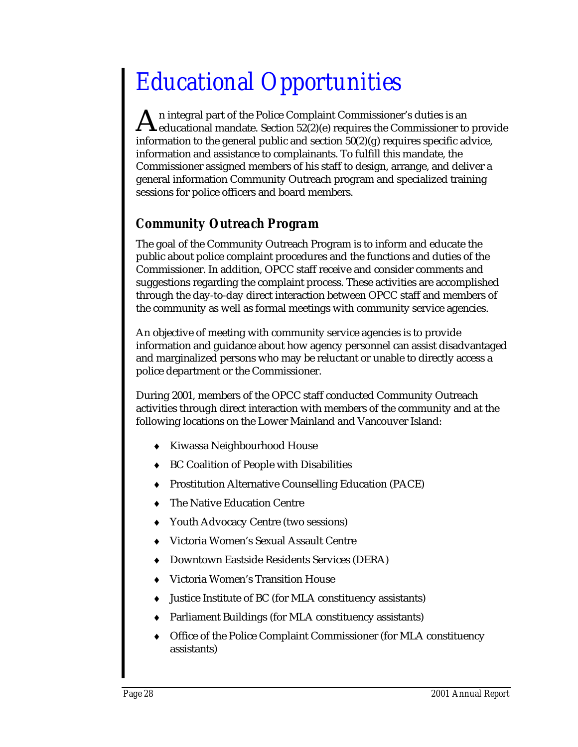## *Educational Opportunities*

n integral part of the Police Complaint Commissioner's duties is an An integral part of the Police Complaint Commissioner's duties is an<br>deducational mandate. Section 52(2)(e) requires the Commissioner to provide information to the general public and section  $50(2)(g)$  requires specific advice, information and assistance to complainants. To fulfill this mandate, the Commissioner assigned members of his staff to design, arrange, and deliver a general information Community Outreach program and specialized training sessions for police officers and board members.

### *Community Outreach Program*

The goal of the Community Outreach Program is to inform and educate the public about police complaint procedures and the functions and duties of the Commissioner. In addition, OPCC staff receive and consider comments and suggestions regarding the complaint process. These activities are accomplished through the day-to-day direct interaction between OPCC staff and members of the community as well as formal meetings with community service agencies.

An objective of meeting with community service agencies is to provide information and guidance about how agency personnel can assist disadvantaged and marginalized persons who may be reluctant or unable to directly access a police department or the Commissioner.

During 2001, members of the OPCC staff conducted Community Outreach activities through direct interaction with members of the community and at the following locations on the Lower Mainland and Vancouver Island:

- ♦ Kiwassa Neighbourhood House
- ♦ BC Coalition of People with Disabilities
- ♦ Prostitution Alternative Counselling Education (PACE)
- The Native Education Centre
- ♦ Youth Advocacy Centre (two sessions)
- ♦ Victoria Women's Sexual Assault Centre
- ♦ Downtown Eastside Residents Services (DERA)
- Victoria Women's Transition House
- ♦ Justice Institute of BC (for MLA constituency assistants)
- ♦ Parliament Buildings (for MLA constituency assistants)
- ♦ Office of the Police Complaint Commissioner (for MLA constituency assistants)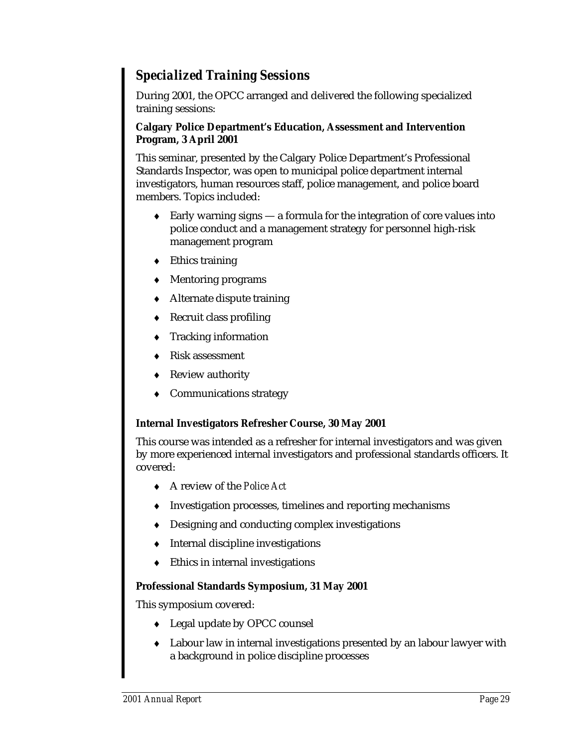### *Specialized Training Sessions*

During 2001, the OPCC arranged and delivered the following specialized training sessions:

#### **Calgary Police Department's Education, Assessment and Intervention Program, 3 April 2001**

This seminar, presented by the Calgary Police Department's Professional Standards Inspector, was open to municipal police department internal investigators, human resources staff, police management, and police board members. Topics included:

- ♦ Early warning signs a formula for the integration of core values into police conduct and a management strategy for personnel high-risk management program
- $\triangleleft$  Ethics training
- ♦ Mentoring programs
- ♦ Alternate dispute training
- ♦ Recruit class profiling
- Tracking information
- Risk assessment
- Review authority
- Communications strategy

#### **Internal Investigators Refresher Course, 30 May 2001**

This course was intended as a refresher for internal investigators and was given by more experienced internal investigators and professional standards officers. It covered:

- ♦ A review of the *Police Act*
- ♦ Investigation processes, timelines and reporting mechanisms
- ♦ Designing and conducting complex investigations
- ♦ Internal discipline investigations
- Ethics in internal investigations

#### **Professional Standards Symposium, 31 May 2001**

This symposium covered:

- ♦ Legal update by OPCC counsel
- ♦ Labour law in internal investigations presented by an labour lawyer with a background in police discipline processes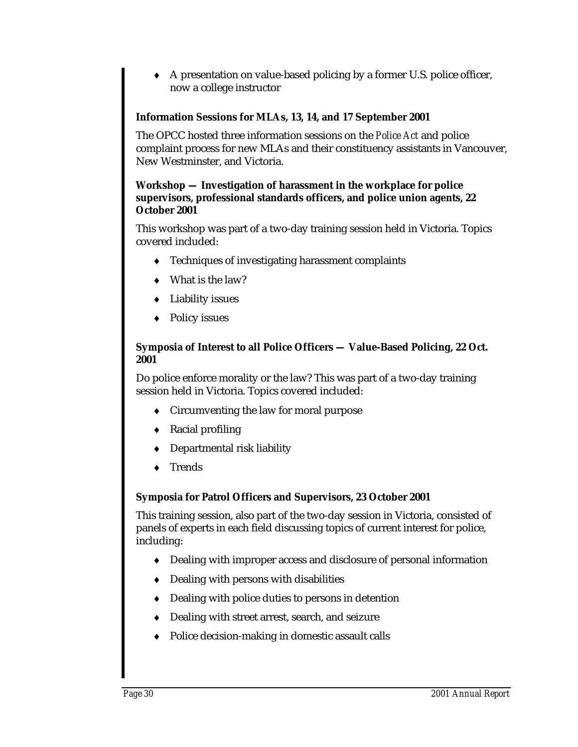A presentation on value-based policing by a former U.S. police officer, now a college instructor

### **Information Sessions for MLAs, 13, 14, and 17 September 2001**

The OPCC hosted three information sessions on the *Police Act* and police complaint process for new MLAs and their constituency assistants in Vancouver, New Westminster, and Victoria.

#### **Workshop — Investigation of harassment in the workplace for police supervisors, professional standards officers, and police union agents, 22 October 2001**

This workshop was part of a two-day training session held in Victoria. Topics covered included:

- ♦ Techniques of investigating harassment complaints
- What is the law?
- ♦ Liability issues
- ♦ Policy issues

#### **Symposia of Interest to all Police Officers — Value-Based Policing, 22 Oct. 2001**

Do police enforce morality or the law? This was part of a two-day training session held in Victoria. Topics covered included:

- ♦ Circumventing the law for moral purpose
- Racial profiling
- Departmental risk liability
- **Trends**

#### **Symposia for Patrol Officers and Supervisors, 23 October 2001**

This training session, also part of the two-day session in Victoria, consisted of panels of experts in each field discussing topics of current interest for police, including:

- ♦ Dealing with improper access and disclosure of personal information
- ♦ Dealing with persons with disabilities
- ♦ Dealing with police duties to persons in detention
- ♦ Dealing with street arrest, search, and seizure
- ♦ Police decision-making in domestic assault calls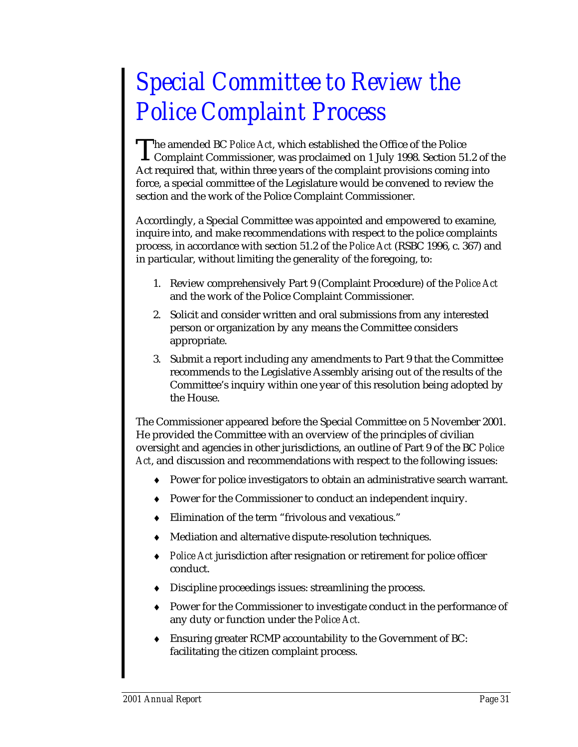## *Special Committee to Review the Police Complaint Process*

he amended BC *Police Act*, which established the Office of the Police The amended BC Police Act, which established the Office of the Police<br>Complaint Commissioner, was proclaimed on 1 July 1998. Section 51.2 of the Act required that, within three years of the complaint provisions coming into force, a special committee of the Legislature would be convened to review the section and the work of the Police Complaint Commissioner.

Accordingly, a Special Committee was appointed and empowered to examine, inquire into, and make recommendations with respect to the police complaints process, in accordance with section 51.2 of the *Police Act* (RSBC 1996, c. 367) and in particular, without limiting the generality of the foregoing, to:

- 1. Review comprehensively Part 9 (Complaint Procedure) of the *Police Act* and the work of the Police Complaint Commissioner.
- 2. Solicit and consider written and oral submissions from any interested person or organization by any means the Committee considers appropriate.
- 3. Submit a report including any amendments to Part 9 that the Committee recommends to the Legislative Assembly arising out of the results of the Committee's inquiry within one year of this resolution being adopted by the House.

The Commissioner appeared before the Special Committee on 5 November 2001. He provided the Committee with an overview of the principles of civilian oversight and agencies in other jurisdictions, an outline of Part 9 of the BC *Police Act*, and discussion and recommendations with respect to the following issues:

- ♦ Power for police investigators to obtain an administrative search warrant.
- ♦ Power for the Commissioner to conduct an independent inquiry.
- ♦ Elimination of the term "frivolous and vexatious."
- ♦ Mediation and alternative dispute-resolution techniques.
- ♦ *Police Act* jurisdiction after resignation or retirement for police officer conduct.
- ♦ Discipline proceedings issues: streamlining the process.
- ♦ Power for the Commissioner to investigate conduct in the performance of any duty or function under the *Police Act.*
- ♦ Ensuring greater RCMP accountability to the Government of BC: facilitating the citizen complaint process.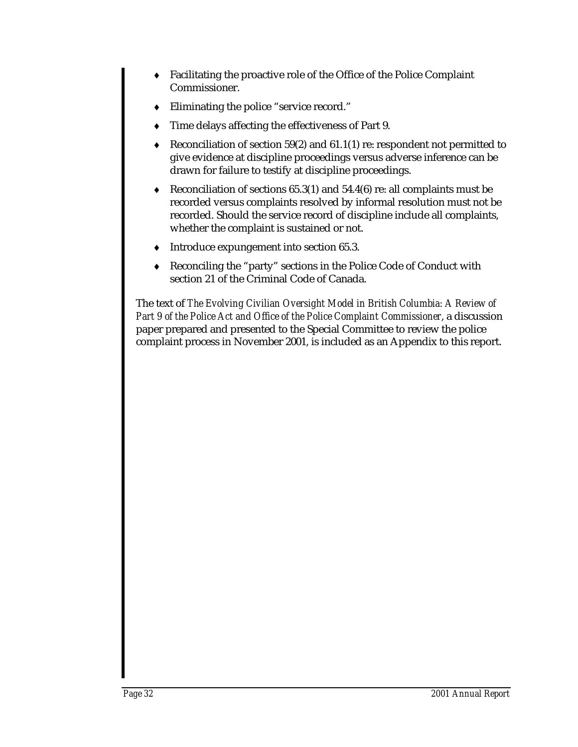- ♦ Facilitating the proactive role of the Office of the Police Complaint Commissioner.
- ♦ Eliminating the police "service record."
- Time delays affecting the effectiveness of Part 9.
- Reconciliation of section 59(2) and  $61.1(1)$  re: respondent not permitted to give evidence at discipline proceedings versus adverse inference can be drawn for failure to testify at discipline proceedings.
- Reconciliation of sections  $65.3(1)$  and  $54.4(6)$  re: all complaints must be recorded versus complaints resolved by informal resolution must not be recorded. Should the service record of discipline include all complaints, whether the complaint is sustained or not.
- ♦ Introduce expungement into section 65.3.
- ♦ Reconciling the "party" sections in the Police Code of Conduct with section 21 of the Criminal Code of Canada.

The text of *The Evolving Civilian Oversight Model in British Columbia: A Review of Part 9 of the Police Act and Office of the Police Complaint Commissioner*, a discussion paper prepared and presented to the Special Committee to review the police complaint process in November 2001, is included as an Appendix to this report.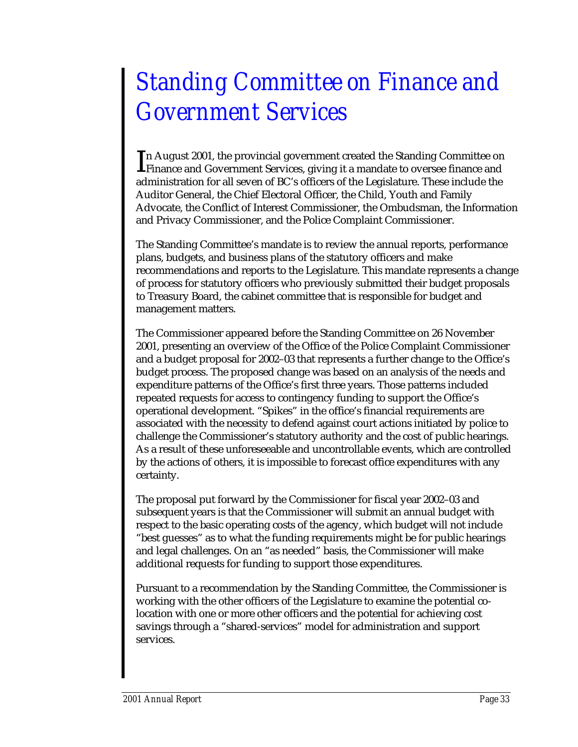## *Standing Committee on Finance and Government Services*

**The August 2001, the provincial government created the Standing Committee on** In August 2001, the provincial government created the Standing Committee or<br>Finance and Government Services, giving it a mandate to oversee finance and administration for all seven of BC's officers of the Legislature. These include the Auditor General, the Chief Electoral Officer, the Child, Youth and Family Advocate, the Conflict of Interest Commissioner, the Ombudsman, the Information and Privacy Commissioner, and the Police Complaint Commissioner.

The Standing Committee's mandate is to review the annual reports, performance plans, budgets, and business plans of the statutory officers and make recommendations and reports to the Legislature. This mandate represents a change of process for statutory officers who previously submitted their budget proposals to Treasury Board, the cabinet committee that is responsible for budget and management matters.

The Commissioner appeared before the Standing Committee on 26 November 2001, presenting an overview of the Office of the Police Complaint Commissioner and a budget proposal for 2002–03 that represents a further change to the Office's budget process. The proposed change was based on an analysis of the needs and expenditure patterns of the Office's first three years. Those patterns included repeated requests for access to contingency funding to support the Office's operational development. "Spikes" in the office's financial requirements are associated with the necessity to defend against court actions initiated by police to challenge the Commissioner's statutory authority and the cost of public hearings. As a result of these unforeseeable and uncontrollable events, which are controlled by the actions of others, it is impossible to forecast office expenditures with any certainty.

The proposal put forward by the Commissioner for fiscal year 2002–03 and subsequent years is that the Commissioner will submit an annual budget with respect to the basic operating costs of the agency, which budget will not include "best guesses" as to what the funding requirements might be for public hearings and legal challenges. On an "as needed" basis, the Commissioner will make additional requests for funding to support those expenditures.

Pursuant to a recommendation by the Standing Committee, the Commissioner is working with the other officers of the Legislature to examine the potential colocation with one or more other officers and the potential for achieving cost savings through a "shared-services" model for administration and support services.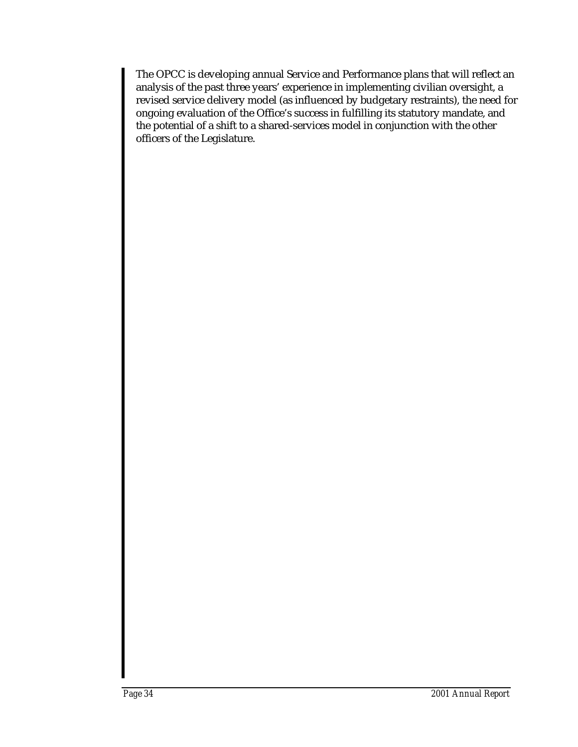The OPCC is developing annual Service and Performance plans that will reflect an analysis of the past three years' experience in implementing civilian oversight, a revised service delivery model (as influenced by budgetary restraints), the need for ongoing evaluation of the Office's success in fulfilling its statutory mandate, and the potential of a shift to a shared-services model in conjunction with the other officers of the Legislature.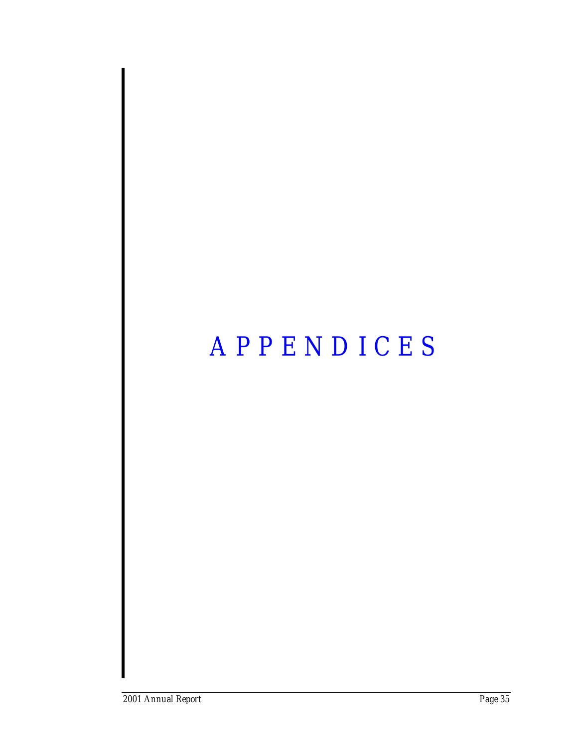## *APPENDICES*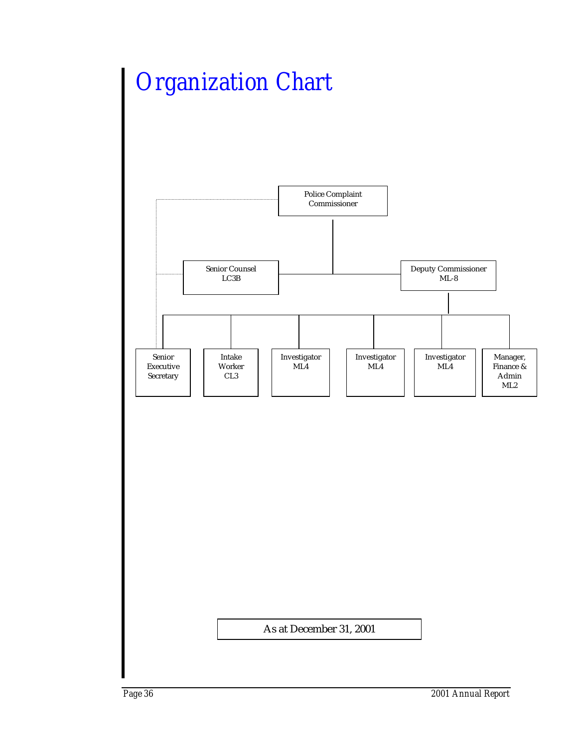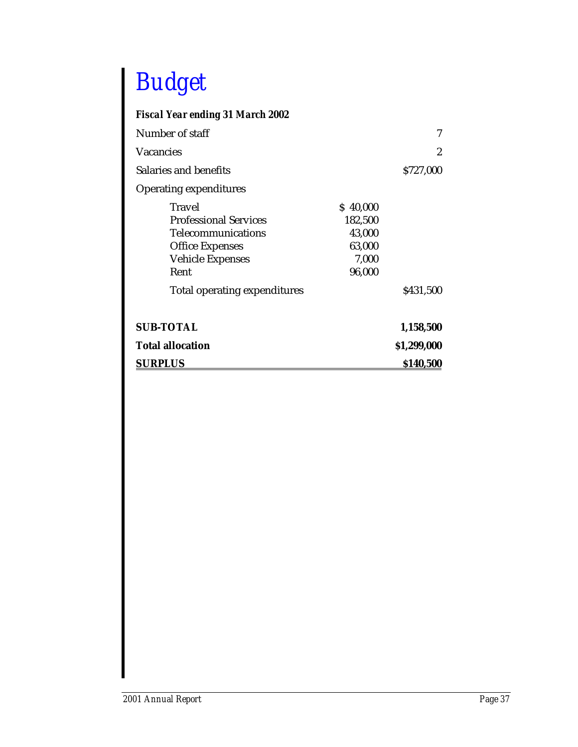## *Budget*

### *Fiscal Year ending 31 March 2002*

| Number of staff                                                                                                                                                  |                                                            | 7           |
|------------------------------------------------------------------------------------------------------------------------------------------------------------------|------------------------------------------------------------|-------------|
| Vacancies                                                                                                                                                        |                                                            | 2           |
| Salaries and benefits                                                                                                                                            |                                                            | \$727,000   |
| <b>Operating expenditures</b>                                                                                                                                    |                                                            |             |
| Travel<br><b>Professional Services</b><br><b>Telecommunications</b><br><b>Office Expenses</b><br><b>Vehicle Expenses</b><br>Rent<br>Total operating expenditures | \$40,000<br>182,500<br>43,000<br>63,000<br>7,000<br>96,000 | \$431,500   |
| <b>SUB-TOTAL</b>                                                                                                                                                 |                                                            | 1,158,500   |
| <b>Total allocation</b>                                                                                                                                          |                                                            | \$1,299,000 |
| <b>SURPLUS</b>                                                                                                                                                   |                                                            | \$140,500   |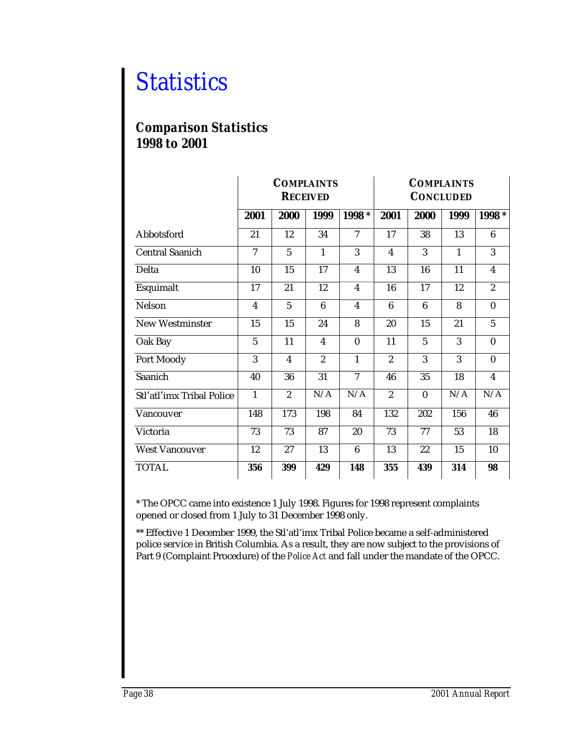### *Statistics*

### *Comparison Statistics 1998 to 2001*

|                           | <b>COMPLAINTS</b><br><b>RECEIVED</b> |                |                         |                | <b>COMPLAINTS</b><br><b>CONCLUDED</b> |              |              |                         |
|---------------------------|--------------------------------------|----------------|-------------------------|----------------|---------------------------------------|--------------|--------------|-------------------------|
|                           | 2001                                 | 2000           | 1999                    | 1998 *         | 2001                                  | 2000         | 1999         | 1998 *                  |
| Abbotsford                | 21                                   | 12             | 34                      | $\overline{7}$ | 17                                    | 38           | 13           | $6\phantom{a}$          |
| <b>Central Saanich</b>    | $\overline{7}$                       | $\overline{5}$ | $\mathbf{1}$            | 3              | $\overline{\mathbf{4}}$               | 3            | $\mathbf{1}$ | 3                       |
| Delta                     | 10                                   | 15             | 17                      | 4              | 13                                    | 16           | 11           | $\overline{\mathbf{4}}$ |
| Esquimalt                 | 17                                   | 21             | 12                      | $\overline{4}$ | 16                                    | 17           | 12           | $\boldsymbol{2}$        |
| <b>Nelson</b>             | 4                                    | $\overline{5}$ | $6\phantom{1}$          | 4              | 6                                     | 6            | 8            | $\bf{0}$                |
| <b>New Westminster</b>    | 15                                   | 15             | 24                      | 8              | 20                                    | 15           | 21           | $\overline{5}$          |
| Oak Bay                   | 5                                    | 11             | $\overline{\mathbf{4}}$ | $\bf{0}$       | 11                                    | 5            | 3            | $\bf{0}$                |
| Port Moody                | 3                                    | $\overline{4}$ | $\overline{2}$          | $\mathbf{1}$   | $\overline{2}$                        | 3            | 3            | $\bf{0}$                |
| Saanich                   | 40                                   | 36             | 31                      | 7              | 46                                    | 35           | 18           | $\overline{\mathbf{4}}$ |
| Stl'atl'imx Tribal Police | $\mathbf{1}$                         | $\overline{2}$ | N/A                     | N/A            | $\overline{2}$                        | $\mathbf{0}$ | N/A          | N/A                     |
| Vancouver                 | 148                                  | 173            | 198                     | 84             | 132                                   | 202          | 156          | 46                      |
| Victoria                  | 73                                   | 73             | 87                      | 20             | 73                                    | 77           | 53           | 18                      |
| <b>West Vancouver</b>     | 12                                   | 27             | 13                      | 6              | 13                                    | 22           | 15           | 10                      |
| <b>TOTAL</b>              | 356                                  | 399            | 429                     | 148            | 355                                   | 439          | 314          | 98                      |

\* The OPCC came into existence 1 July 1998. Figures for 1998 represent complaints opened or closed from 1 July to 31 December 1998 only.

\*\* Effective 1 December 1999, the Stl'atl'imx Tribal Police became a self-administered police service in British Columbia. As a result, they are now subject to the provisions of Part 9 (Complaint Procedure) of the *Police Act* and fall under the mandate of the OPCC.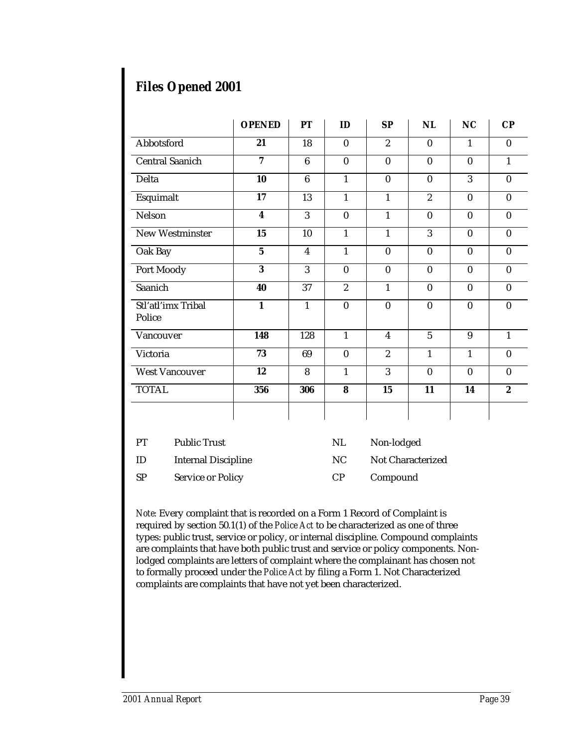### *Files Opened 2001*

|                              | <b>OPENED</b>    | PT                      | ID             | <b>SP</b>        | NL               | NC           | $\bf CP$         |
|------------------------------|------------------|-------------------------|----------------|------------------|------------------|--------------|------------------|
| Abbotsford                   | 21               | 18                      | $\mathbf{0}$   | $\boldsymbol{2}$ | $\bf{0}$         | $\mathbf{1}$ | $\mathbf{0}$     |
| <b>Central Saanich</b>       | 7                | $6\phantom{.}6$         | $\bf{0}$       | $\bf{0}$         | $\mathbf{0}$     | $\bf{0}$     | $\mathbf{1}$     |
| Delta                        | 10               | $6\phantom{1}$          | $\mathbf{1}$   | $\bf{0}$         | $\bf{0}$         | 3            | $\bf{0}$         |
| Esquimalt                    | 17               | 13                      | $\mathbf{1}$   | $\mathbf{1}$     | $\boldsymbol{2}$ | $\bf{0}$     | $\bf{0}$         |
| Nelson                       | $\boldsymbol{4}$ | 3                       | $\bf{0}$       | $\mathbf{1}$     | $\bf{0}$         | $\mathbf{0}$ | $\bf{0}$         |
| <b>New Westminster</b>       | 15               | 10                      | $\mathbf{1}$   | $\mathbf{1}$     | 3                | $\mathbf{0}$ | $\bf{0}$         |
| Oak Bay                      | $5\phantom{.0}$  | $\overline{\mathbf{4}}$ | $\mathbf{1}$   | $\bf{0}$         | $\bf{0}$         | $\bf{0}$     | $\bf{0}$         |
| Port Moody                   | 3                | 3                       | $\bf{0}$       | $\theta$         | $\bf{0}$         | $\mathbf{0}$ | $\mathbf{0}$     |
| Saanich                      | 40               | 37                      | $\overline{2}$ | $\mathbf{1}$     | $\mathbf{0}$     | $\mathbf{0}$ | $\mathbf{0}$     |
| Stl'atl'imx Tribal<br>Police | $\mathbf{1}$     | $\mathbf{1}$            | $\bf{0}$       | $\bf{0}$         | $\bf{0}$         | $\bf{0}$     | $\bf{0}$         |
| Vancouver                    | 148              | 128                     | $\mathbf{1}$   | $\overline{4}$   | 5                | 9            | $\mathbf{1}$     |
| Victoria                     | 73               | 69                      | $\bf{0}$       | $\overline{2}$   | $\mathbf{1}$     | $\mathbf{1}$ | $\mathbf{0}$     |
| <b>West Vancouver</b>        | 12               | 8                       | $\mathbf{1}$   | 3                | $\bf{0}$         | $\bf{0}$     | $\bf{0}$         |
| <b>TOTAL</b>                 | 356              | 306                     | 8              | 15               | 11               | 14           | $\boldsymbol{2}$ |
|                              |                  |                         |                |                  |                  |              |                  |

| PT  | <b>Public Trust</b>        | NL. | Non-lodged        |
|-----|----------------------------|-----|-------------------|
| -ID | <b>Internal Discipline</b> | NC. | Not Characterized |
| -SP | <b>Service or Policy</b>   | CP. | Compound          |

*Note:* Every complaint that is recorded on a Form 1 Record of Complaint is required by section 50.1(1) of the *Police Act* to be characterized as one of three types: public trust, service or policy, or internal discipline. Compound complaints are complaints that have both public trust and service or policy components. Nonlodged complaints are letters of complaint where the complainant has chosen not to formally proceed under the *Police Act* by filing a Form 1. Not Characterized complaints are complaints that have not yet been characterized.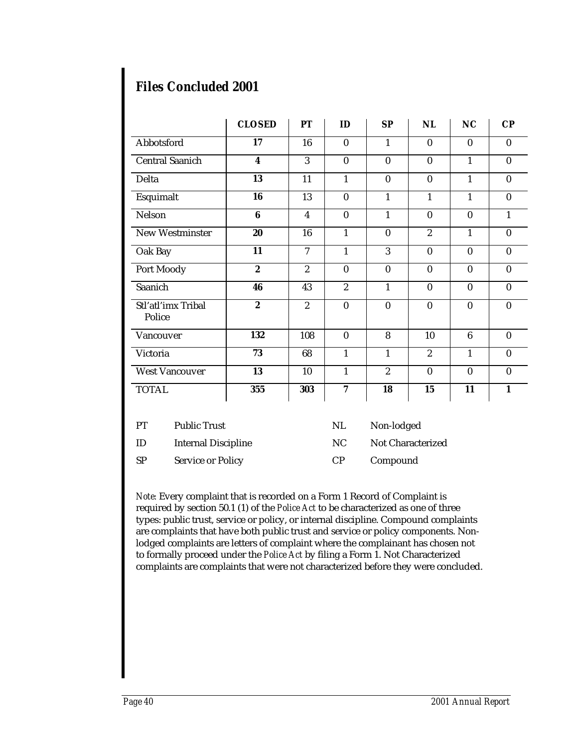### *Files Concluded 2001*

|                              | <b>CLOSED</b>    | PT               | ID             | <b>SP</b>        | NL               | <b>NC</b>       | $\bf CP$     |
|------------------------------|------------------|------------------|----------------|------------------|------------------|-----------------|--------------|
| Abbotsford                   | 17               | 16               | $\mathbf{0}$   | $\mathbf{1}$     | $\bf{0}$         | $\mathbf{0}$    | $\mathbf{0}$ |
| <b>Central Saanich</b>       | $\boldsymbol{4}$ | 3                | $\bf{0}$       | $\bf{0}$         | $\bf{0}$         | $\mathbf{1}$    | $\bf{0}$     |
| Delta                        | 13               | 11               | $\mathbf{1}$   | $\bf{0}$         | $\mathbf{0}$     | $\mathbf{1}$    | $\mathbf{0}$ |
| Esquimalt                    | 16               | 13               | $\bf{0}$       | $\mathbf{1}$     | $\mathbf{1}$     | $\mathbf{1}$    | $\mathbf{0}$ |
| Nelson                       | 6                | $\boldsymbol{4}$ | $\bf{0}$       | $\mathbf{1}$     | $\bf{0}$         | $\bf{0}$        | $\mathbf{1}$ |
| New Westminster              | 20               | 16               | $\mathbf{1}$   | $\bf{0}$         | $\overline{2}$   | $\mathbf{1}$    | $\bf{0}$     |
| Oak Bay                      | 11               | 7                | $\mathbf{1}$   | 3                | $\boldsymbol{0}$ | $\bf{0}$        | $\mathbf{0}$ |
| Port Moody                   | $\overline{2}$   | $\overline{2}$   | $\bf{0}$       | $\bf{0}$         | $\bf{0}$         | $\bf{0}$        | $\bf{0}$     |
| Saanich                      | 46               | 43               | $\overline{2}$ | 1                | $\mathbf{0}$     | $\theta$        | $\mathbf{0}$ |
| Stl'atl'imx Tribal<br>Police | $\boldsymbol{2}$ | $\boldsymbol{2}$ | $\bf{0}$       | $\bf{0}$         | $\bf{0}$         | $\bf{0}$        | $\bf{0}$     |
| Vancouver                    | 132              | 108              | $\bf{0}$       | 8                | 10               | $6\phantom{1}6$ | $\bf{0}$     |
| Victoria                     | 73               | 68               | $\mathbf{1}$   | $\mathbf{1}$     | $\overline{2}$   | $\mathbf{1}$    | $\bf{0}$     |
| <b>West Vancouver</b>        | 13               | 10               | 1              | $\boldsymbol{2}$ | $\boldsymbol{0}$ | $\bf{0}$        | $\bf{0}$     |
| <b>TOTAL</b>                 | 355              | 303              | 7              | 18               | 15               | 11              | 1            |

| PT  | <b>Public Trust</b>        | NL. | Non-lodged        |
|-----|----------------------------|-----|-------------------|
| -ID | <b>Internal Discipline</b> | NC. | Not Characterized |
| -SP | Service or Policy          | CP. | Compound          |

*Note:* Every complaint that is recorded on a Form 1 Record of Complaint is required by section 50.1 (1) of the *Police Act* to be characterized as one of three types: public trust, service or policy, or internal discipline. Compound complaints are complaints that have both public trust and service or policy components. Nonlodged complaints are letters of complaint where the complainant has chosen not to formally proceed under the *Police Act* by filing a Form 1. Not Characterized complaints are complaints that were not characterized before they were concluded.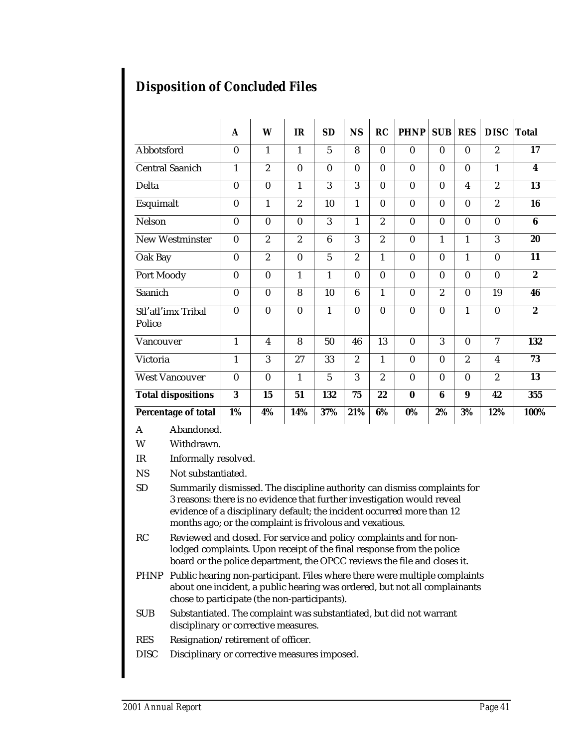|                              | A                | W                | <b>IR</b>      | SD              | <b>NS</b>        | RC               | <b>PHNP</b>  | <b>SUB</b>     | <b>RES</b>              | <b>DISC</b>             | <b>Total</b>     |
|------------------------------|------------------|------------------|----------------|-----------------|------------------|------------------|--------------|----------------|-------------------------|-------------------------|------------------|
| Abbotsford                   | $\bf{0}$         | 1                | 1              | $\overline{5}$  | 8                | $\mathbf{0}$     | $\mathbf{0}$ | $\mathbf{0}$   | $\bf{0}$                | $\boldsymbol{2}$        | 17               |
| <b>Central Saanich</b>       | $\mathbf{1}$     | $\overline{2}$   | $\bf{0}$       | $\bf{0}$        | $\bf{0}$         | $\bf{0}$         | $\bf{0}$     | $\bf{0}$       | $\mathbf{0}$            | 1                       | $\boldsymbol{4}$ |
| Delta                        | $\bf{0}$         | $\bf{0}$         | $\mathbf{1}$   | 3               | 3                | $\bf{0}$         | $\bf{0}$     | $\bf{0}$       | $\overline{\mathbf{4}}$ | $\boldsymbol{2}$        | 13               |
| Esquimalt                    | $\boldsymbol{0}$ | 1                | 2              | 10              | 1                | $\mathbf{0}$     | $\bf{0}$     | $\mathbf{0}$   | $\bf{0}$                | $\overline{2}$          | 16               |
| Nelson                       | $\bf{0}$         | $\bf{0}$         | $\bf{0}$       | 3               | 1                | $\overline{2}$   | $\bf{0}$     | $\bf{0}$       | $\bf{0}$                | $\bf{0}$                | $\bf{6}$         |
| New Westminster              | $\bf{0}$         | $\overline{2}$   | $\overline{2}$ | 6               | 3                | $\overline{2}$   | $\bf{0}$     | 1              | 1                       | 3                       | 20               |
| Oak Bay                      | $\bf{0}$         | $\overline{2}$   | $\bf{0}$       | $5\overline{)}$ | $\overline{2}$   | 1                | $\bf{0}$     | $\bf{0}$       | 1                       | $\mathbf{0}$            | 11               |
| Port Moody                   | $\bf{0}$         | $\bf{0}$         | $\mathbf{1}$   | 1               | $\mathbf{0}$     | $\bf{0}$         | $\bf{0}$     | $\mathbf{0}$   | $\mathbf{0}$            | $\bf{0}$                | $\overline{2}$   |
| Saanich                      | $\bf{0}$         | $\bf{0}$         | 8              | 10              | $\boldsymbol{6}$ | $\mathbf{1}$     | $\bf{0}$     | $\overline{2}$ | $\bf{0}$                | 19                      | 46               |
| Stl'atl'imx Tribal<br>Police | $\bf{0}$         | $\bf{0}$         | $\bf{0}$       | 1               | $\mathbf{0}$     | $\boldsymbol{0}$ | $\bf{0}$     | $\mathbf{0}$   | 1                       | $\mathbf{0}$            | $\overline{2}$   |
| Vancouver                    | $\mathbf{1}$     | $\boldsymbol{4}$ | 8              | 50              | 46               | 13               | $\bf{0}$     | 3              | $\bf{0}$                | $\overline{7}$          | 132              |
| Victoria                     | $\mathbf{1}$     | 3                | 27             | 33              | $\overline{2}$   | $\mathbf{1}$     | $\bf{0}$     | $\bf{0}$       | $\overline{2}$          | $\overline{\mathbf{4}}$ | 73               |
| <b>West Vancouver</b>        | $\bf{0}$         | $\bf{0}$         | $\mathbf{1}$   | $5\overline{)}$ | 3                | $\overline{2}$   | $\bf{0}$     | $\bf{0}$       | $\bf{0}$                | $\overline{2}$          | 13               |
| <b>Total dispositions</b>    | 3                | 15               | 51             | 132             | 75               | 22               | $\bf{0}$     | 6              | 9                       | 42                      | 355              |
| Percentage of total          | 1%               | 4%               | 14%            | 37%             | 21%              | 6%               | 0%           | 2%             | 3%                      | 12%                     | 100%             |

A Abandoned.

W Withdrawn.

IR Informally resolved.

NS Not substantiated.

SD Summarily dismissed. The discipline authority can dismiss complaints for 3 reasons: there is no evidence that further investigation would reveal evidence of a disciplinary default; the incident occurred more than 12 months ago; or the complaint is frivolous and vexatious.

RC Reviewed and closed. For service and policy complaints and for nonlodged complaints. Upon receipt of the final response from the police board or the police department, the OPCC reviews the file and closes it.

- PHNP Public hearing non-participant. Files where there were multiple complaints about one incident, a public hearing was ordered, but not all complainants chose to participate (the non-participants).
- SUB Substantiated. The complaint was substantiated, but did not warrant disciplinary or corrective measures.
- RES Resignation/retirement of officer.
- DISC Disciplinary or corrective measures imposed.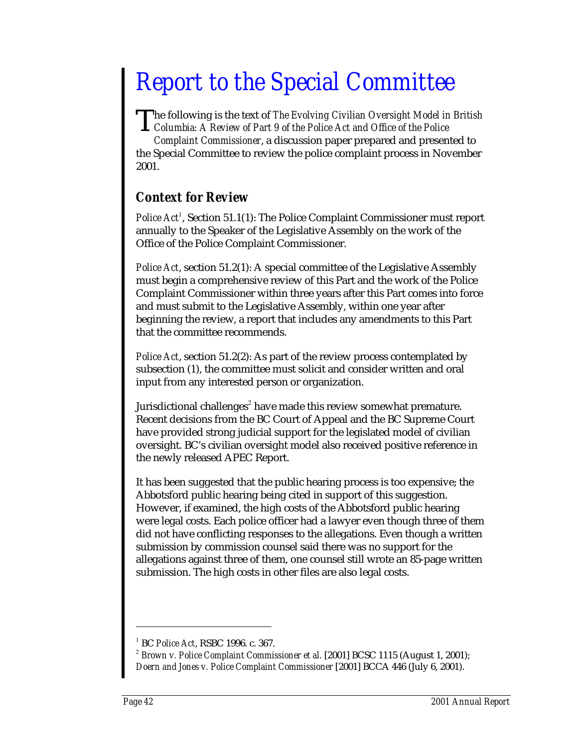## *Report to the Special Committee*

he following is the text of *The Evolving Civilian Oversight Model in British* The following is the text of *The Evolving Civilian Oversight Model in*<br>Columbia: A Review of Part 9 of the Police Act and Office of the Police

*Complaint Commissioner*, a discussion paper prepared and presented to the Special Committee to review the police complaint process in November 2001.

### *Context for Review*

Police Act<sup>1</sup>, Section 51.1(1): The Police Complaint Commissioner must report annually to the Speaker of the Legislative Assembly on the work of the Office of the Police Complaint Commissioner.

*Police Act*, section 51.2(1): A special committee of the Legislative Assembly must begin a comprehensive review of this Part and the work of the Police Complaint Commissioner within three years after this Part comes into force and must submit to the Legislative Assembly, within one year after beginning the review, a report that includes any amendments to this Part that the committee recommends.

*Police Act*, section 51.2(2): As part of the review process contemplated by subsection (1), the committee must solicit and consider written and oral input from any interested person or organization.

Jurisdictional challenges<sup>2</sup> have made this review somewhat premature. Recent decisions from the BC Court of Appeal and the BC Supreme Court have provided strong judicial support for the legislated model of civilian oversight. BC's civilian oversight model also received positive reference in the newly released APEC Report.

It has been suggested that the public hearing process is too expensive; the Abbotsford public hearing being cited in support of this suggestion. However, if examined, the high costs of the Abbotsford public hearing were legal costs. Each police officer had a lawyer even though three of them did not have conflicting responses to the allegations. Even though a written submission by commission counsel said there was no support for the allegations against three of them, one counsel still wrote an 85-page written submission. The high costs in other files are also legal costs.

<sup>1</sup> BC *Police Act*, RSBC 1996. c. 367.

<sup>&</sup>lt;sup>2</sup> Brown v. Police Complaint Commissioner et al. [2001] BCSC 1115 (August 1, 2001); *Doern and Jones v. Police Complaint Commissioner* [2001] BCCA 446 (July 6, 2001).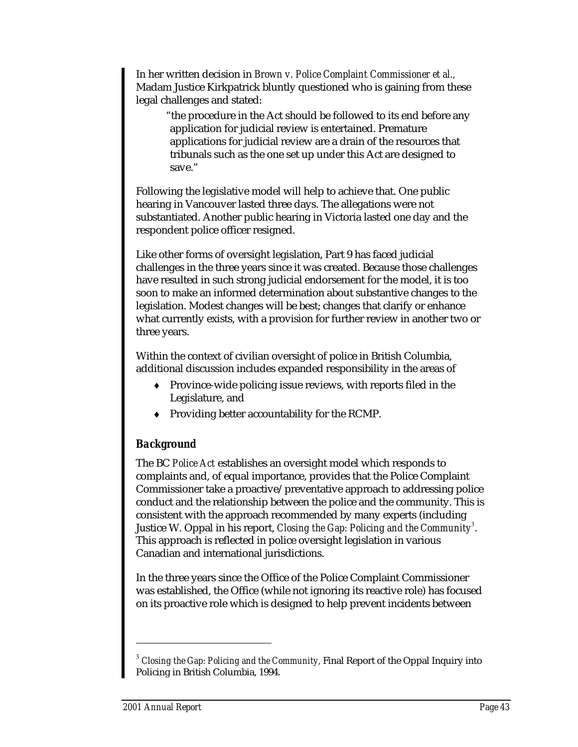In her written decision in *Brown v. Police Complaint Commissioner et al.,* Madam Justice Kirkpatrick bluntly questioned who is gaining from these legal challenges and stated:

"the procedure in the Act should be followed to its end before any application for judicial review is entertained. Premature applications for judicial review are a drain of the resources that tribunals such as the one set up under this Act are designed to save."

Following the legislative model will help to achieve that. One public hearing in Vancouver lasted three days. The allegations were not substantiated. Another public hearing in Victoria lasted one day and the respondent police officer resigned.

Like other forms of oversight legislation, Part 9 has faced judicial challenges in the three years since it was created. Because those challenges have resulted in such strong judicial endorsement for the model, it is too soon to make an informed determination about substantive changes to the legislation. Modest changes will be best; changes that clarify or enhance what currently exists, with a provision for further review in another two or three years.

Within the context of civilian oversight of police in British Columbia, additional discussion includes expanded responsibility in the areas of

- ♦ Province-wide policing issue reviews, with reports filed in the Legislature, and
- ♦ Providing better accountability for the RCMP.

### *Background*

The BC *Police Act* establishes an oversight model which responds to complaints and, of equal importance, provides that the Police Complaint Commissioner take a proactive/preventative approach to addressing police conduct and the relationship between the police and the community. This is consistent with the approach recommended by many experts (including Justice W. Oppal in his report, *Closing the Gap: Policing and the Community* $^3$ *.* This approach is reflected in police oversight legislation in various Canadian and international jurisdictions.

In the three years since the Office of the Police Complaint Commissioner was established, the Office (while not ignoring its reactive role) has focused on its proactive role which is designed to help prevent incidents between

<sup>3</sup> *Closing the Gap: Policing and the Community,* Final Report of the Oppal Inquiry into Policing in British Columbia, 1994.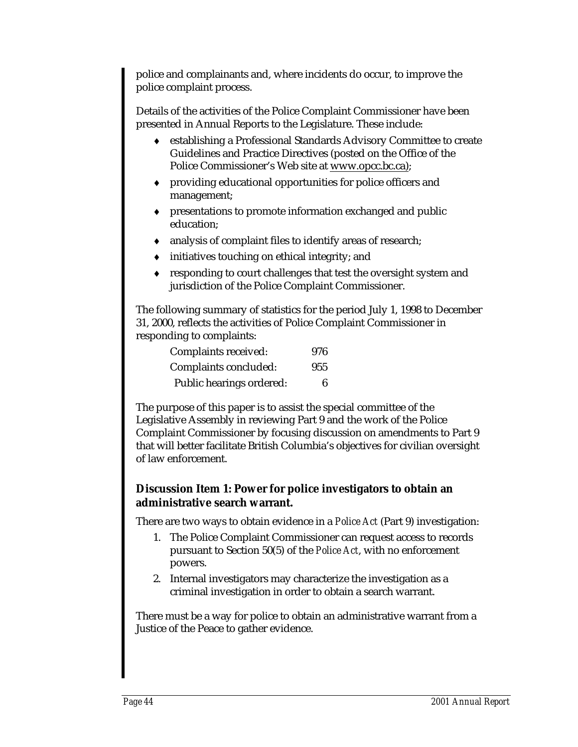police and complainants and, where incidents do occur, to improve the police complaint process.

Details of the activities of the Police Complaint Commissioner have been presented in Annual Reports to the Legislature. These include:

- ♦ establishing a Professional Standards Advisory Committee to create Guidelines and Practice Directives (posted on the Office of the Police Commissioner's Web site at www.opcc.bc.ca);
- ♦ providing educational opportunities for police officers and management;
- ♦ presentations to promote information exchanged and public education;
- ♦ analysis of complaint files to identify areas of research;
- ♦ initiatives touching on ethical integrity; and
- ♦ responding to court challenges that test the oversight system and jurisdiction of the Police Complaint Commissioner.

The following summary of statistics for the period July 1, 1998 to December 31, 2000, reflects the activities of Police Complaint Commissioner in responding to complaints:

| Complaints received:     | 976 |
|--------------------------|-----|
| Complaints concluded:    | 955 |
| Public hearings ordered: | 6   |

The purpose of this paper is to assist the special committee of the Legislative Assembly in reviewing Part 9 and the work of the Police Complaint Commissioner by focusing discussion on amendments to Part 9 that will better facilitate British Columbia's objectives for civilian oversight of law enforcement.

### **Discussion Item 1: Power for police investigators to obtain an administrative search warrant.**

There are two ways to obtain evidence in a *Police Act* (Part 9) investigation:

- 1. The Police Complaint Commissioner can request access to records pursuant to Section 50(5) of the *Police Act*, with no enforcement powers.
- 2. Internal investigators may characterize the investigation as a criminal investigation in order to obtain a search warrant.

There must be a way for police to obtain an administrative warrant from a Justice of the Peace to gather evidence.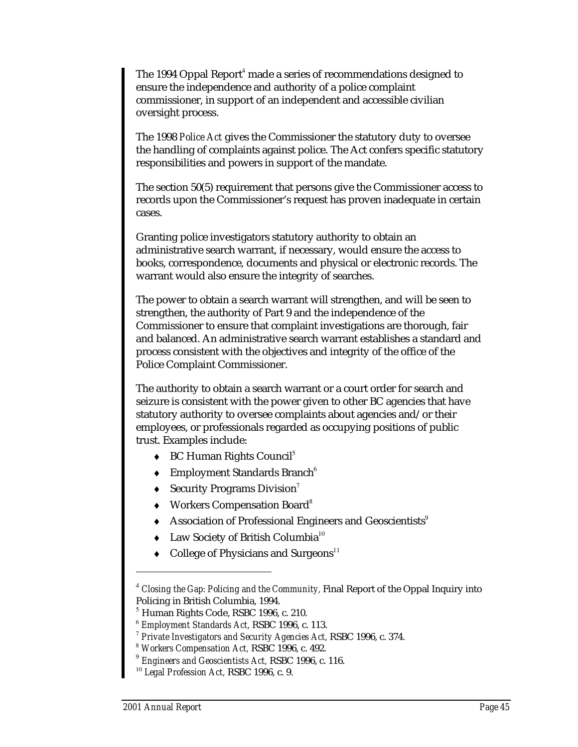The 1994 Oppal Report<sup>4</sup> made a series of recommendations designed to ensure the independence and authority of a police complaint commissioner, in support of an independent and accessible civilian oversight process.

The 1998 *Police Act* gives the Commissioner the statutory duty to oversee the handling of complaints against police. The Act confers specific statutory responsibilities and powers in support of the mandate.

The section 50(5) requirement that persons give the Commissioner access to records upon the Commissioner's request has proven inadequate in certain cases.

Granting police investigators statutory authority to obtain an administrative search warrant, if necessary, would ensure the access to books, correspondence, documents and physical or electronic records. The warrant would also ensure the integrity of searches.

The power to obtain a search warrant will strengthen, and will be seen to strengthen, the authority of Part 9 and the independence of the Commissioner to ensure that complaint investigations are thorough, fair and balanced. An administrative search warrant establishes a standard and process consistent with the objectives and integrity of the office of the Police Complaint Commissioner.

The authority to obtain a search warrant or a court order for search and seizure is consistent with the power given to other BC agencies that have statutory authority to oversee complaints about agencies and/or their employees, or professionals regarded as occupying positions of public trust. Examples include:

- $\triangleleft$  BC Human Rights Council<sup>5</sup>
- $\triangleleft$  Employment Standards Branch<sup>6</sup>
- $\triangleleft$  Security Programs Division<sup>7</sup>
- ♦ Workers Compensation Board<sup>8</sup>
- $\triangleleft$  Association of Professional Engineers and Geoscientists<sup>9</sup>
- $\blacklozenge$  Law Society of British Columbia<sup>10</sup>
- College of Physicians and Surgeons $11$

<sup>4</sup> *Closing the Gap: Policing and the Community,* Final Report of the Oppal Inquiry into Policing in British Columbia, 1994.

<sup>&</sup>lt;sup>5</sup> Human Rights Code, RSBC 1996, c. 210.

<sup>6</sup> *Employment Standards Act,* RSBC 1996, c. 113.

<sup>7</sup> *Private Investigators and Security Agencies Act,* RSBC 1996, c. 374.

<sup>8</sup> *Workers Compensation Act,* RSBC 1996, c. 492.

<sup>9</sup> *Engineers and Geoscientists Act,* RSBC 1996, c. 116.

<sup>10</sup> *Legal Profession Act,* RSBC 1996, c. 9.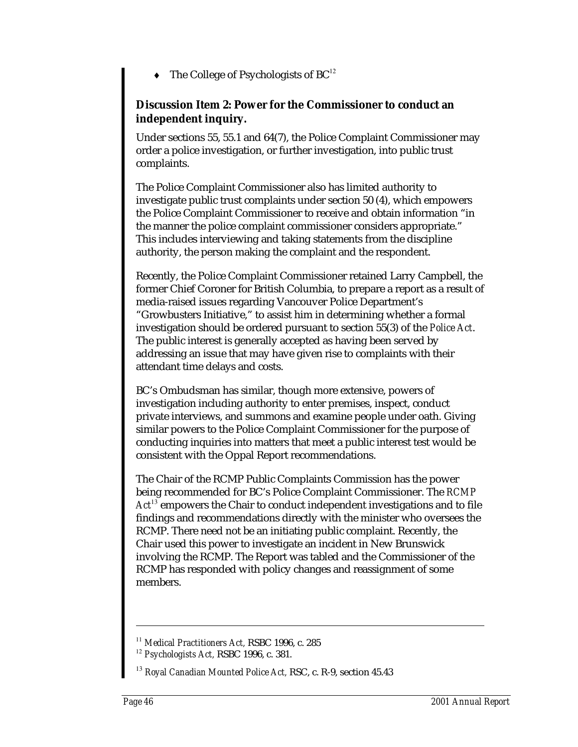The College of Psychologists of  $BC^{12}$ 

### **Discussion Item 2: Power for the Commissioner to conduct an independent inquiry.**

Under sections 55, 55.1 and 64(7), the Police Complaint Commissioner may order a police investigation, or further investigation, into public trust complaints.

The Police Complaint Commissioner also has limited authority to investigate public trust complaints under section 50 (4), which empowers the Police Complaint Commissioner to receive and obtain information "in the manner the police complaint commissioner considers appropriate." This includes interviewing and taking statements from the discipline authority, the person making the complaint and the respondent.

Recently, the Police Complaint Commissioner retained Larry Campbell, the former Chief Coroner for British Columbia, to prepare a report as a result of media-raised issues regarding Vancouver Police Department's "Growbusters Initiative," to assist him in determining whether a formal investigation should be ordered pursuant to section 55(3) of the *Police Act*. The public interest is generally accepted as having been served by addressing an issue that may have given rise to complaints with their attendant time delays and costs.

BC's Ombudsman has similar, though more extensive, powers of investigation including authority to enter premises, inspect, conduct private interviews, and summons and examine people under oath. Giving similar powers to the Police Complaint Commissioner for the purpose of conducting inquiries into matters that meet a public interest test would be consistent with the Oppal Report recommendations.

The Chair of the RCMP Public Complaints Commission has the power being recommended for BC's Police Complaint Commissioner. The *RCMP Act*<sup>13</sup> empowers the Chair to conduct independent investigations and to file findings and recommendations directly with the minister who oversees the RCMP. There need not be an initiating public complaint. Recently, the Chair used this power to investigate an incident in New Brunswick involving the RCMP. The Report was tabled and the Commissioner of the RCMP has responded with policy changes and reassignment of some members.

<sup>11</sup> *Medical Practitioners Act,* RSBC 1996, c. 285

<sup>12</sup> *Psychologists Act,* RSBC 1996, c. 381.

<sup>13</sup> *Royal Canadian Mounted Police Act,* RSC, c. R-9, section 45.43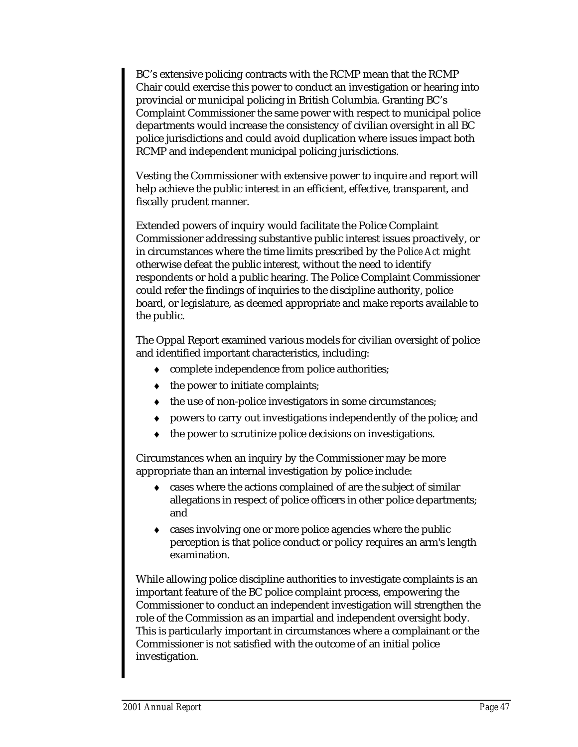BC's extensive policing contracts with the RCMP mean that the RCMP Chair could exercise this power to conduct an investigation or hearing into provincial or municipal policing in British Columbia. Granting BC's Complaint Commissioner the same power with respect to municipal police departments would increase the consistency of civilian oversight in all BC police jurisdictions and could avoid duplication where issues impact both RCMP and independent municipal policing jurisdictions.

Vesting the Commissioner with extensive power to inquire and report will help achieve the public interest in an efficient, effective, transparent, and fiscally prudent manner.

Extended powers of inquiry would facilitate the Police Complaint Commissioner addressing substantive public interest issues proactively, or in circumstances where the time limits prescribed by the *Police Act* might otherwise defeat the public interest, without the need to identify respondents or hold a public hearing. The Police Complaint Commissioner could refer the findings of inquiries to the discipline authority, police board, or legislature, as deemed appropriate and make reports available to the public.

The Oppal Report examined various models for civilian oversight of police and identified important characteristics, including:

- ♦ complete independence from police authorities;
- the power to initiate complaints;
- the use of non-police investigators in some circumstances;
- ♦ powers to carry out investigations independently of the police; and
- the power to scrutinize police decisions on investigations.

Circumstances when an inquiry by the Commissioner may be more appropriate than an internal investigation by police include:

- ♦ cases where the actions complained of are the subject of similar allegations in respect of police officers in other police departments; and
- cases involving one or more police agencies where the public perception is that police conduct or policy requires an arm's length examination.

While allowing police discipline authorities to investigate complaints is an important feature of the BC police complaint process, empowering the Commissioner to conduct an independent investigation will strengthen the role of the Commission as an impartial and independent oversight body. This is particularly important in circumstances where a complainant or the Commissioner is not satisfied with the outcome of an initial police investigation.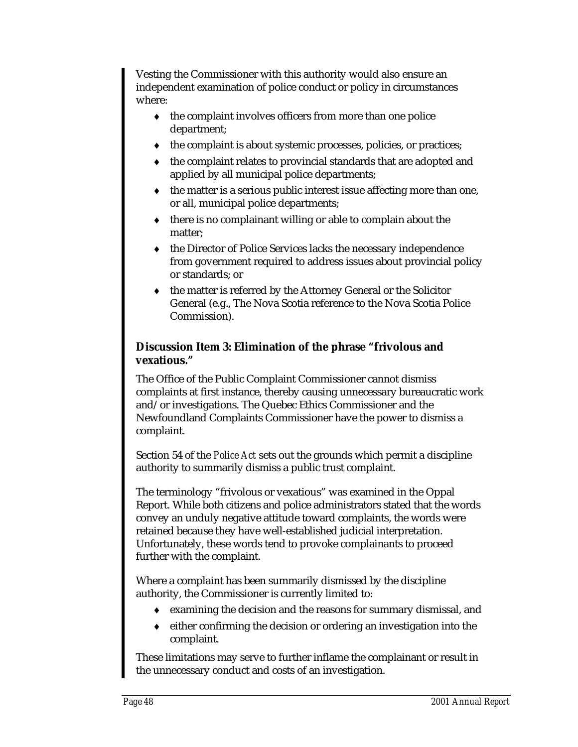Vesting the Commissioner with this authority would also ensure an independent examination of police conduct or policy in circumstances where:

- ♦ the complaint involves officers from more than one police department;
- ♦ the complaint is about systemic processes, policies, or practices;
- ♦ the complaint relates to provincial standards that are adopted and applied by all municipal police departments;
- ♦ the matter is a serious public interest issue affecting more than one, or all, municipal police departments;
- ♦ there is no complainant willing or able to complain about the matter;
- ♦ the Director of Police Services lacks the necessary independence from government required to address issues about provincial policy or standards; or
- ♦ the matter is referred by the Attorney General or the Solicitor General (e.g., The Nova Scotia reference to the Nova Scotia Police Commission).

### **Discussion Item 3: Elimination of the phrase "frivolous and vexatious."**

The Office of the Public Complaint Commissioner cannot dismiss complaints at first instance, thereby causing unnecessary bureaucratic work and/or investigations. The Quebec Ethics Commissioner and the Newfoundland Complaints Commissioner have the power to dismiss a complaint.

Section 54 of the *Police Act* sets out the grounds which permit a discipline authority to summarily dismiss a public trust complaint.

The terminology "frivolous or vexatious" was examined in the Oppal Report. While both citizens and police administrators stated that the words convey an unduly negative attitude toward complaints, the words were retained because they have well-established judicial interpretation. Unfortunately, these words tend to provoke complainants to proceed further with the complaint.

Where a complaint has been summarily dismissed by the discipline authority, the Commissioner is currently limited to:

- ♦ examining the decision and the reasons for summary dismissal, and
- ♦ either confirming the decision or ordering an investigation into the complaint.

These limitations may serve to further inflame the complainant or result in the unnecessary conduct and costs of an investigation.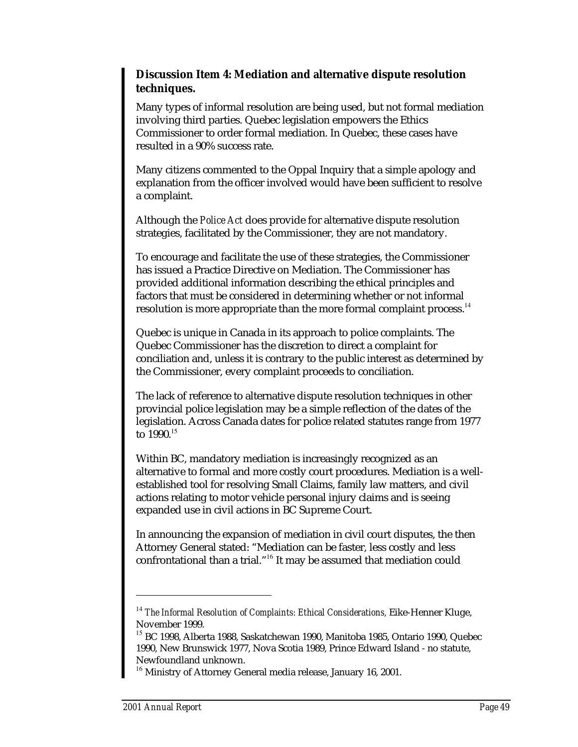### **Discussion Item 4: Mediation and alternative dispute resolution techniques.**

Many types of informal resolution are being used, but not formal mediation involving third parties. Quebec legislation empowers the Ethics Commissioner to order formal mediation. In Quebec, these cases have resulted in a 90% success rate.

Many citizens commented to the Oppal Inquiry that a simple apology and explanation from the officer involved would have been sufficient to resolve a complaint.

Although the *Police Act* does provide for alternative dispute resolution strategies, facilitated by the Commissioner, they are not mandatory.

To encourage and facilitate the use of these strategies, the Commissioner has issued a Practice Directive on Mediation. The Commissioner has provided additional information describing the ethical principles and factors that must be considered in determining whether or not informal resolution is more appropriate than the more formal complaint process.<sup>14</sup>

Quebec is unique in Canada in its approach to police complaints. The Quebec Commissioner has the discretion to direct a complaint for conciliation and, unless it is contrary to the public interest as determined by the Commissioner, every complaint proceeds to conciliation.

The lack of reference to alternative dispute resolution techniques in other provincial police legislation may be a simple reflection of the dates of the legislation. Across Canada dates for police related statutes range from 1977 to 1990.<sup>15</sup>

Within BC, mandatory mediation is increasingly recognized as an alternative to formal and more costly court procedures. Mediation is a wellestablished tool for resolving Small Claims, family law matters, and civil actions relating to motor vehicle personal injury claims and is seeing expanded use in civil actions in BC Supreme Court.

In announcing the expansion of mediation in civil court disputes, the then Attorney General stated: "Mediation can be faster, less costly and less confrontational than a trial."<sup>16</sup> It may be assumed that mediation could

<sup>14</sup> *The Informal Resolution of Complaints: Ethical Considerations,* Eike-Henner Kluge, November 1999.

<sup>&</sup>lt;sup>15</sup> BC 1998, Alberta 1988, Saskatchewan 1990, Manitoba 1985, Ontario 1990, Quebec 1990, New Brunswick 1977, Nova Scotia 1989, Prince Edward Island - no statute, Newfoundland unknown.

<sup>&</sup>lt;sup>16</sup> Ministry of Attorney General media release, January 16, 2001.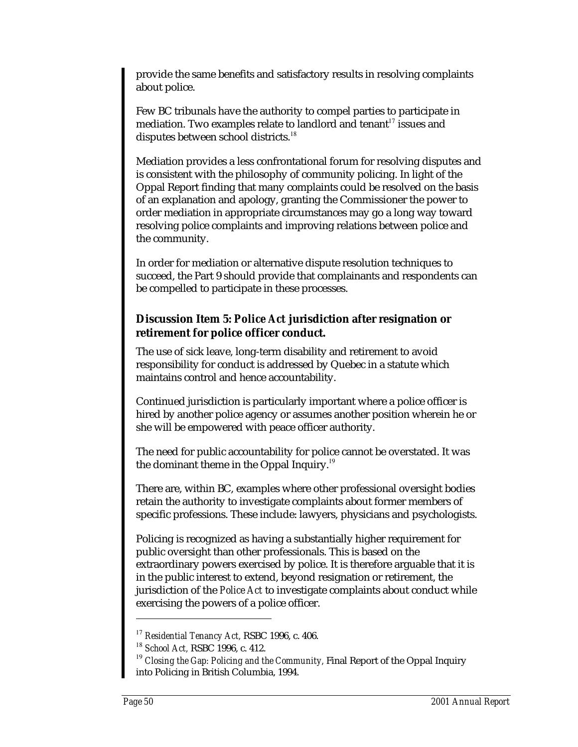provide the same benefits and satisfactory results in resolving complaints about police.

Few BC tribunals have the authority to compel parties to participate in mediation. Two examples relate to landlord and tenant $17$  issues and disputes between school districts.<sup>18</sup>

Mediation provides a less confrontational forum for resolving disputes and is consistent with the philosophy of community policing. In light of the Oppal Report finding that many complaints could be resolved on the basis of an explanation and apology, granting the Commissioner the power to order mediation in appropriate circumstances may go a long way toward resolving police complaints and improving relations between police and the community.

In order for mediation or alternative dispute resolution techniques to succeed, the Part 9 should provide that complainants and respondents can be compelled to participate in these processes.

### **Discussion Item 5:** *Police Act* **jurisdiction after resignation or retirement for police officer conduct.**

The use of sick leave, long-term disability and retirement to avoid responsibility for conduct is addressed by Quebec in a statute which maintains control and hence accountability.

Continued jurisdiction is particularly important where a police officer is hired by another police agency or assumes another position wherein he or she will be empowered with peace officer authority.

The need for public accountability for police cannot be overstated. It was the dominant theme in the Oppal Inquiry.<sup>19</sup>

There are, within BC, examples where other professional oversight bodies retain the authority to investigate complaints about former members of specific professions. These include: lawyers, physicians and psychologists.

Policing is recognized as having a substantially higher requirement for public oversight than other professionals. This is based on the extraordinary powers exercised by police. It is therefore arguable that it is in the public interest to extend, beyond resignation or retirement, the jurisdiction of the *Police Act* to investigate complaints about conduct while exercising the powers of a police officer.

<sup>17</sup> *Residential Tenancy Act,* RSBC 1996, c. 406.

<sup>18</sup> *School Act,* RSBC 1996, c. 412.

<sup>&</sup>lt;sup>19</sup> Closing the Gap: Policing and the Community, Final Report of the Oppal Inquiry into Policing in British Columbia, 1994.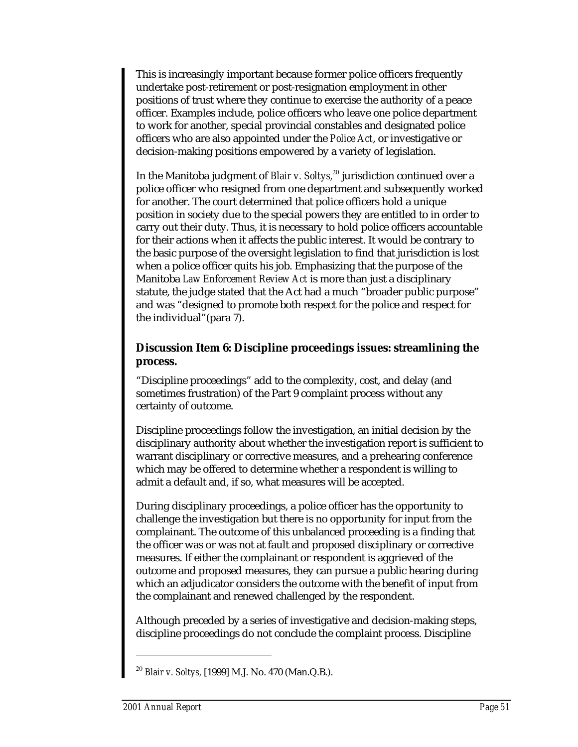This is increasingly important because former police officers frequently undertake post-retirement or post-resignation employment in other positions of trust where they continue to exercise the authority of a peace officer. Examples include, police officers who leave one police department to work for another, special provincial constables and designated police officers who are also appointed under the *Police Act*, or investigative or decision-making positions empowered by a variety of legislation.

In the Manitoba judgment of *Blair v. Soltys*,<sup>20</sup> jurisdiction continued over a police officer who resigned from one department and subsequently worked for another. The court determined that police officers hold a unique position in society due to the special powers they are entitled to in order to carry out their duty. Thus, it is necessary to hold police officers accountable for their actions when it affects the public interest. It would be contrary to the basic purpose of the oversight legislation to find that jurisdiction is lost when a police officer quits his job. Emphasizing that the purpose of the Manitoba *Law Enforcement Review Act* is more than just a disciplinary statute, the judge stated that the Act had a much "broader public purpose" and was "designed to promote both respect for the police and respect for the individual"(para 7).

### **Discussion Item 6: Discipline proceedings issues: streamlining the process.**

"Discipline proceedings" add to the complexity, cost, and delay (and sometimes frustration) of the Part 9 complaint process without any certainty of outcome.

Discipline proceedings follow the investigation, an initial decision by the disciplinary authority about whether the investigation report is sufficient to warrant disciplinary or corrective measures, and a prehearing conference which may be offered to determine whether a respondent is willing to admit a default and, if so, what measures will be accepted.

During disciplinary proceedings, a police officer has the opportunity to challenge the investigation but there is no opportunity for input from the complainant. The outcome of this unbalanced proceeding is a finding that the officer was or was not at fault and proposed disciplinary or corrective measures. If either the complainant or respondent is aggrieved of the outcome and proposed measures, they can pursue a public hearing during which an adjudicator considers the outcome with the benefit of input from the complainant and renewed challenged by the respondent.

Although preceded by a series of investigative and decision-making steps, discipline proceedings do not conclude the complaint process. Discipline

<sup>20</sup> *Blair v. Soltys,* [1999] M.J. No. 470 (Man.Q.B.).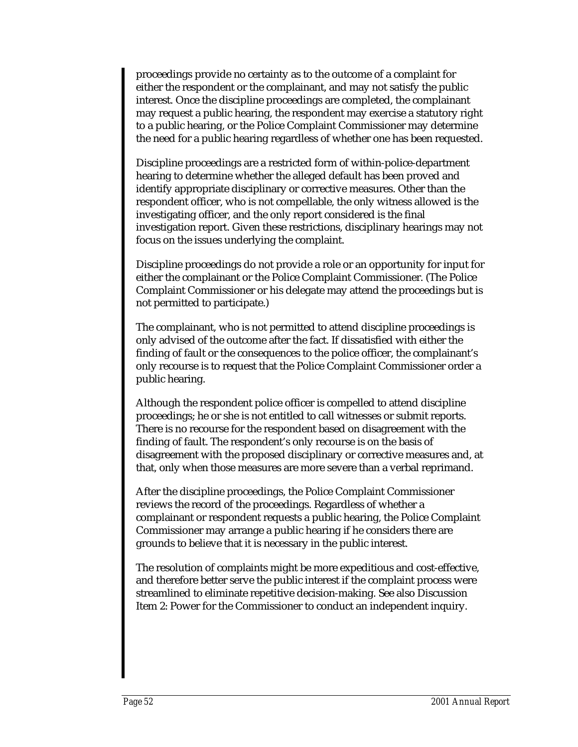proceedings provide no certainty as to the outcome of a complaint for either the respondent or the complainant, and may not satisfy the public interest. Once the discipline proceedings are completed, the complainant may request a public hearing, the respondent may exercise a statutory right to a public hearing, or the Police Complaint Commissioner may determine the need for a public hearing regardless of whether one has been requested.

Discipline proceedings are a restricted form of within-police-department hearing to determine whether the alleged default has been proved and identify appropriate disciplinary or corrective measures. Other than the respondent officer, who is not compellable, the only witness allowed is the investigating officer, and the only report considered is the final investigation report. Given these restrictions, disciplinary hearings may not focus on the issues underlying the complaint.

Discipline proceedings do not provide a role or an opportunity for input for either the complainant or the Police Complaint Commissioner. (The Police Complaint Commissioner or his delegate may attend the proceedings but is not permitted to participate.)

The complainant, who is not permitted to attend discipline proceedings is only advised of the outcome after the fact. If dissatisfied with either the finding of fault or the consequences to the police officer, the complainant's only recourse is to request that the Police Complaint Commissioner order a public hearing.

Although the respondent police officer is compelled to attend discipline proceedings; he or she is not entitled to call witnesses or submit reports. There is no recourse for the respondent based on disagreement with the finding of fault. The respondent's only recourse is on the basis of disagreement with the proposed disciplinary or corrective measures and, at that, only when those measures are more severe than a verbal reprimand.

After the discipline proceedings, the Police Complaint Commissioner reviews the record of the proceedings. Regardless of whether a complainant or respondent requests a public hearing, the Police Complaint Commissioner may arrange a public hearing if he considers there are grounds to believe that it is necessary in the public interest.

The resolution of complaints might be more expeditious and cost-effective, and therefore better serve the public interest if the complaint process were streamlined to eliminate repetitive decision-making. See also Discussion Item 2: Power for the Commissioner to conduct an independent inquiry.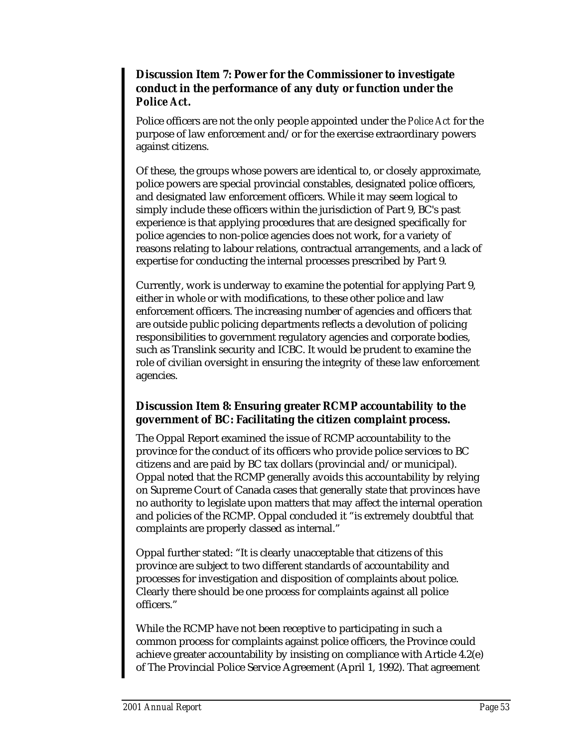### **Discussion Item 7: Power for the Commissioner to investigate conduct in the performance of any duty or function under the** *Police Act***.**

Police officers are not the only people appointed under the *Police Act* for the purpose of law enforcement and/or for the exercise extraordinary powers against citizens.

Of these, the groups whose powers are identical to, or closely approximate, police powers are special provincial constables, designated police officers, and designated law enforcement officers. While it may seem logical to simply include these officers within the jurisdiction of Part 9, BC's past experience is that applying procedures that are designed specifically for police agencies to non-police agencies does not work, for a variety of reasons relating to labour relations, contractual arrangements, and a lack of expertise for conducting the internal processes prescribed by Part 9.

Currently, work is underway to examine the potential for applying Part 9, either in whole or with modifications, to these other police and law enforcement officers. The increasing number of agencies and officers that are outside public policing departments reflects a devolution of policing responsibilities to government regulatory agencies and corporate bodies, such as Translink security and ICBC. It would be prudent to examine the role of civilian oversight in ensuring the integrity of these law enforcement agencies.

### **Discussion Item 8: Ensuring greater RCMP accountability to the government of BC: Facilitating the citizen complaint process.**

The Oppal Report examined the issue of RCMP accountability to the province for the conduct of its officers who provide police services to BC citizens and are paid by BC tax dollars (provincial and/or municipal). Oppal noted that the RCMP generally avoids this accountability by relying on Supreme Court of Canada cases that generally state that provinces have no authority to legislate upon matters that may affect the internal operation and policies of the RCMP. Oppal concluded it "is extremely doubtful that complaints are properly classed as internal."

Oppal further stated: "It is clearly unacceptable that citizens of this province are subject to two different standards of accountability and processes for investigation and disposition of complaints about police. Clearly there should be one process for complaints against all police officers."

While the RCMP have not been receptive to participating in such a common process for complaints against police officers, the Province could achieve greater accountability by insisting on compliance with Article 4.2(e) of The Provincial Police Service Agreement (April 1, 1992). That agreement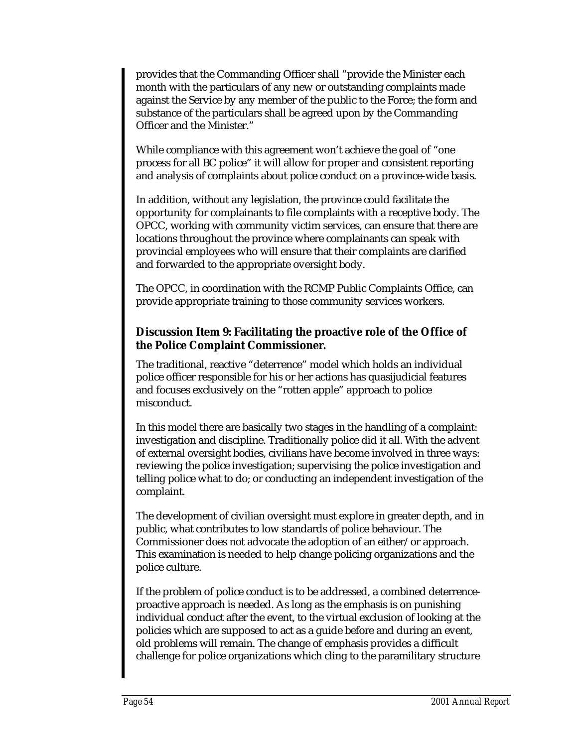provides that the Commanding Officer shall "provide the Minister each month with the particulars of any new or outstanding complaints made against the Service by any member of the public to the Force; the form and substance of the particulars shall be agreed upon by the Commanding Officer and the Minister."

While compliance with this agreement won't achieve the goal of "one process for all BC police" it will allow for proper and consistent reporting and analysis of complaints about police conduct on a province-wide basis.

In addition, without any legislation, the province could facilitate the opportunity for complainants to file complaints with a receptive body. The OPCC, working with community victim services, can ensure that there are locations throughout the province where complainants can speak with provincial employees who will ensure that their complaints are clarified and forwarded to the appropriate oversight body.

The OPCC, in coordination with the RCMP Public Complaints Office, can provide appropriate training to those community services workers.

### **Discussion Item 9: Facilitating the proactive role of the Office of the Police Complaint Commissioner.**

The traditional, reactive "deterrence" model which holds an individual police officer responsible for his or her actions has quasijudicial features and focuses exclusively on the "rotten apple" approach to police misconduct.

In this model there are basically two stages in the handling of a complaint: investigation and discipline. Traditionally police did it all. With the advent of external oversight bodies, civilians have become involved in three ways: reviewing the police investigation; supervising the police investigation and telling police what to do; or conducting an independent investigation of the complaint.

The development of civilian oversight must explore in greater depth, and in public, what contributes to low standards of police behaviour. The Commissioner does not advocate the adoption of an either/or approach. This examination is needed to help change policing organizations and the police culture.

If the problem of police conduct is to be addressed, a combined deterrenceproactive approach is needed. As long as the emphasis is on punishing individual conduct after the event, to the virtual exclusion of looking at the policies which are supposed to act as a guide before and during an event, old problems will remain. The change of emphasis provides a difficult challenge for police organizations which cling to the paramilitary structure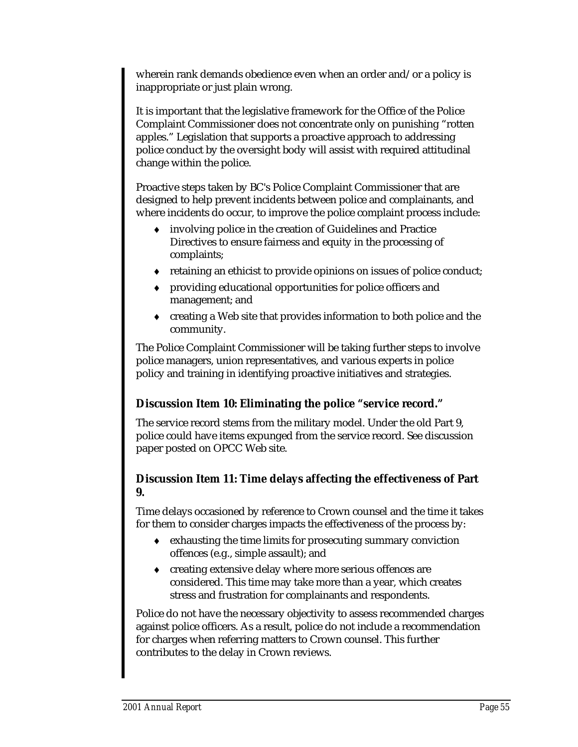wherein rank demands obedience even when an order and/or a policy is inappropriate or just plain wrong.

It is important that the legislative framework for the Office of the Police Complaint Commissioner does not concentrate only on punishing "rotten apples." Legislation that supports a proactive approach to addressing police conduct by the oversight body will assist with required attitudinal change within the police.

Proactive steps taken by BC's Police Complaint Commissioner that are designed to help prevent incidents between police and complainants, and where incidents do occur, to improve the police complaint process include:

- ♦ involving police in the creation of Guidelines and Practice Directives to ensure fairness and equity in the processing of complaints;
- ♦ retaining an ethicist to provide opinions on issues of police conduct;
- ♦ providing educational opportunities for police officers and management; and
- ♦ creating a Web site that provides information to both police and the community.

The Police Complaint Commissioner will be taking further steps to involve police managers, union representatives, and various experts in police policy and training in identifying proactive initiatives and strategies.

### **Discussion Item 10: Eliminating the police "service record."**

The service record stems from the military model. Under the old Part 9, police could have items expunged from the service record. See discussion paper posted on OPCC Web site.

### **Discussion Item 11: Time delays affecting the effectiveness of Part 9.**

Time delays occasioned by reference to Crown counsel and the time it takes for them to consider charges impacts the effectiveness of the process by:

- ♦ exhausting the time limits for prosecuting summary conviction offences (e.g., simple assault); and
- ♦ creating extensive delay where more serious offences are considered. This time may take more than a year, which creates stress and frustration for complainants and respondents.

Police do not have the necessary objectivity to assess recommended charges against police officers. As a result, police do not include a recommendation for charges when referring matters to Crown counsel. This further contributes to the delay in Crown reviews.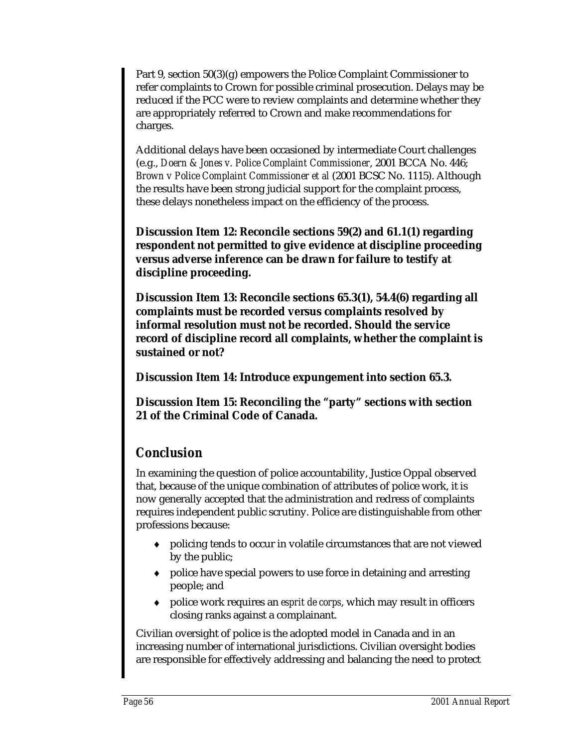Part 9, section 50(3)(g) empowers the Police Complaint Commissioner to refer complaints to Crown for possible criminal prosecution. Delays may be reduced if the PCC were to review complaints and determine whether they are appropriately referred to Crown and make recommendations for charges.

Additional delays have been occasioned by intermediate Court challenges (e.g., *Doern & Jones v. Police Complaint Commissioner*, 2001 BCCA No. 446; *Brown v Police Complaint Commissioner et al* (2001 BCSC No. 1115). Although the results have been strong judicial support for the complaint process, these delays nonetheless impact on the efficiency of the process.

**Discussion Item 12: Reconcile sections 59(2) and 61.1(1) regarding respondent not permitted to give evidence at discipline proceeding versus adverse inference can be drawn for failure to testify at discipline proceeding.**

**Discussion Item 13: Reconcile sections 65.3(1), 54.4(6) regarding all complaints must be recorded versus complaints resolved by informal resolution must not be recorded. Should the service record of discipline record all complaints, whether the complaint is sustained or not?**

**Discussion Item 14: Introduce expungement into section 65.3.**

**Discussion Item 15: Reconciling the "party" sections with section 21 of the Criminal Code of Canada.**

### *Conclusion*

In examining the question of police accountability, Justice Oppal observed that, because of the unique combination of attributes of police work, it is now generally accepted that the administration and redress of complaints requires independent public scrutiny. Police are distinguishable from other professions because:

- ♦ policing tends to occur in volatile circumstances that are not viewed by the public;
- ♦ police have special powers to use force in detaining and arresting people; and
- ♦ police work requires an *esprit de corps*, which may result in officers closing ranks against a complainant.

Civilian oversight of police is the adopted model in Canada and in an increasing number of international jurisdictions. Civilian oversight bodies are responsible for effectively addressing and balancing the need to protect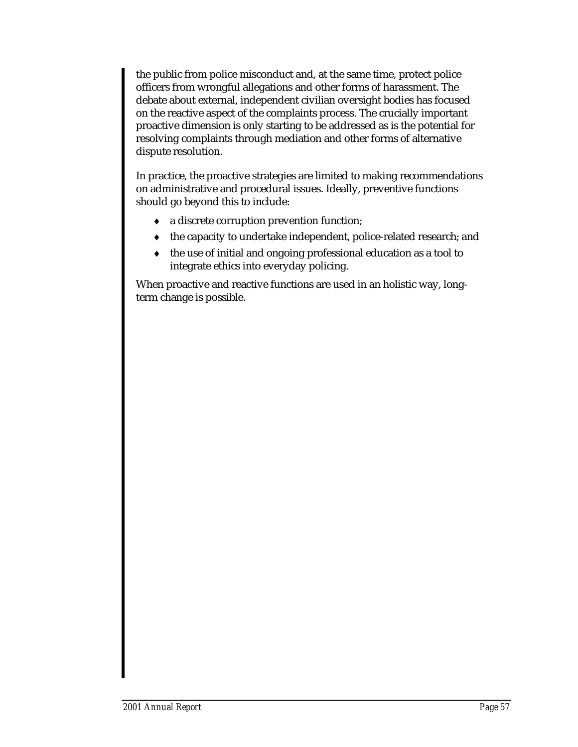the public from police misconduct and, at the same time, protect police officers from wrongful allegations and other forms of harassment. The debate about external, independent civilian oversight bodies has focused on the reactive aspect of the complaints process. The crucially important proactive dimension is only starting to be addressed as is the potential for resolving complaints through mediation and other forms of alternative dispute resolution.

In practice, the proactive strategies are limited to making recommendations on administrative and procedural issues. Ideally, preventive functions should go beyond this to include:

- ♦ a discrete corruption prevention function;
- ♦ the capacity to undertake independent, police-related research; and
- ♦ the use of initial and ongoing professional education as a tool to integrate ethics into everyday policing.

When proactive and reactive functions are used in an holistic way, longterm change is possible.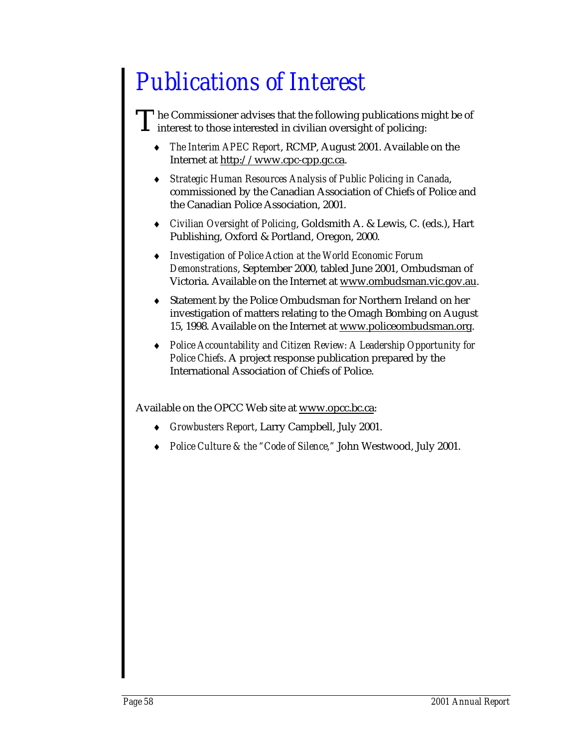## *Publications of Interest*

The Commissioner advises that the following publications might be of interest to those interested in civilian oversight of policing: T

- ♦ *The Interim APEC Report*, RCMP, August 2001. Available on the Internet at http://www.cpc-cpp.gc.ca.
- ♦ *Strategic Human Resources Analysis of Public Policing in Canada*, commissioned by the Canadian Association of Chiefs of Police and the Canadian Police Association, 2001.
- ♦ *Civilian Oversight of Policing*, Goldsmith A. & Lewis, C. (eds.), Hart Publishing, Oxford & Portland, Oregon, 2000.
- ♦ *Investigation of Police Action at the World Economic Forum Demonstrations*, September 2000, tabled June 2001, Ombudsman of Victoria. Available on the Internet at www.ombudsman.vic.gov.au.
- Statement by the Police Ombudsman for Northern Ireland on her investigation of matters relating to the Omagh Bombing on August 15, 1998. Available on the Internet at www.policeombudsman.org.
- ♦ *Police Accountability and Citizen Review: A Leadership Opportunity for Police Chiefs*. A project response publication prepared by the International Association of Chiefs of Police.

Available on the OPCC Web site at www.opcc.bc.ca:

- ♦ *Growbusters Report*, Larry Campbell, July 2001.
- *Police Culture & the "Code of Silence,"* John Westwood, July 2001.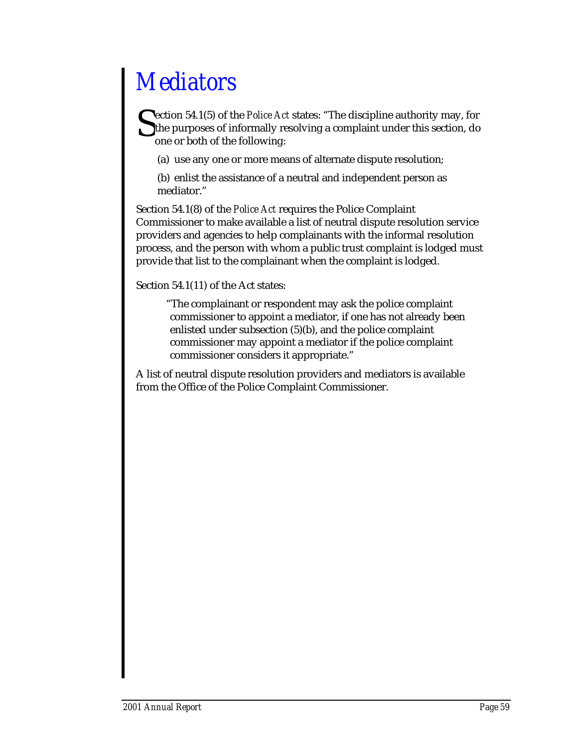## *Mediators*

ection 54.1(5) of the *Police Act* states: "The discipline authority may, for the purposes of informally resolving a complaint under this section, do one or both of the following: **S** 

(a) use any one or more means of alternate dispute resolution;

(b) enlist the assistance of a neutral and independent person as mediator."

Section 54.1(8) of the *Police Act* requires the Police Complaint Commissioner to make available a list of neutral dispute resolution service providers and agencies to help complainants with the informal resolution process, and the person with whom a public trust complaint is lodged must provide that list to the complainant when the complaint is lodged.

Section 54.1(11) of the Act states:

"The complainant or respondent may ask the police complaint commissioner to appoint a mediator, if one has not already been enlisted under subsection (5)(b), and the police complaint commissioner may appoint a mediator if the police complaint commissioner considers it appropriate."

A list of neutral dispute resolution providers and mediators is available from the Office of the Police Complaint Commissioner.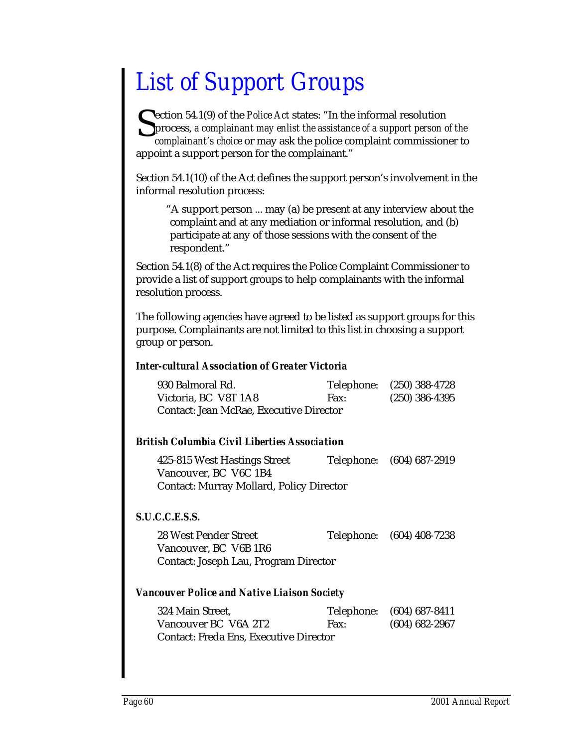## *List of Support Groups*

Section 54.1(9) of the *Police Act* states: "In the informal resolution process, a complainant may enlist the assistance of a support person complainant's choice or may ask the police complaint commission process, *a complainant may enlist the assistance of a support person of the complainant's choice* or may ask the police complaint commissioner to appoint a support person for the complainant."

Section 54.1(10) of the Act defines the support person's involvement in the informal resolution process:

"A support person ... may (a) be present at any interview about the complaint and at any mediation or informal resolution, and (b) participate at any of those sessions with the consent of the respondent."

Section 54.1(8) of the Act requires the Police Complaint Commissioner to provide a list of support groups to help complainants with the informal resolution process.

The following agencies have agreed to be listed as support groups for this purpose. Complainants are not limited to this list in choosing a support group or person.

#### *Inter-cultural Association of Greater Victoria*

| 930 Balmoral Rd.                        |      | Telephone: (250) 388-4728 |
|-----------------------------------------|------|---------------------------|
| Victoria, BC V8T 1A8                    | Fax: | $(250)$ 386-4395          |
| Contact: Jean McRae, Executive Director |      |                           |

#### *British Columbia Civil Liberties Association*

| 425-815 West Hastings Street                    | Telephone: (604) 687-2919 |
|-------------------------------------------------|---------------------------|
| Vancouver, BC V6C 1B4                           |                           |
| <b>Contact: Murray Mollard, Policy Director</b> |                           |

#### *S.U.C.C.E.S.S.*

28 West Pender Street Telephone: (604) 408-7238 Vancouver, BC V6B 1R6 Contact: Joseph Lau, Program Director

#### *Vancouver Police and Native Liaison Society*

| 324 Main Street.                              |      | Telephone: (604) 687-8411 |
|-----------------------------------------------|------|---------------------------|
| Vancouver BC V6A 2T2                          | Fax: | $(604)$ 682-2967          |
| <b>Contact: Freda Ens, Executive Director</b> |      |                           |